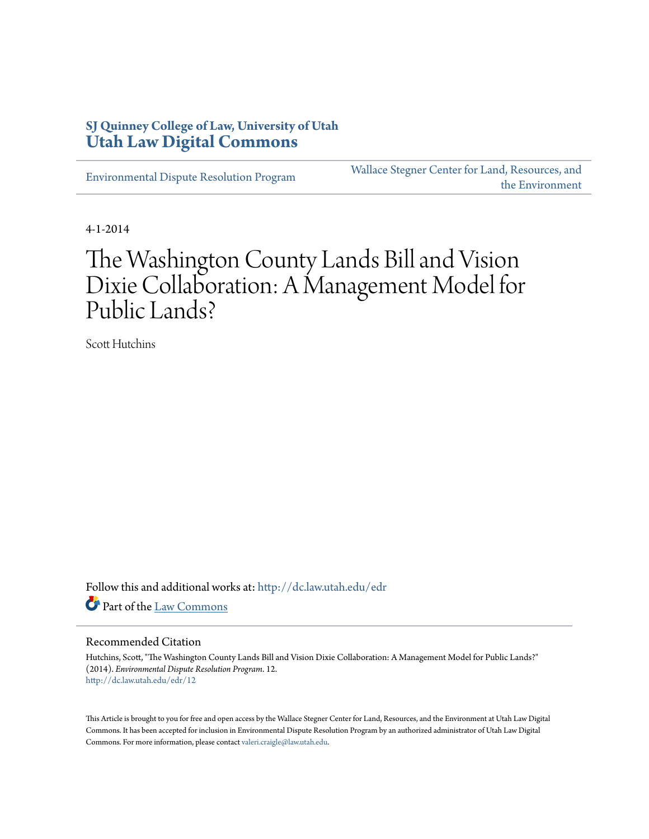# **SJ Quinney College of Law, University of Utah [Utah Law Digital Commons](http://dc.law.utah.edu?utm_source=dc.law.utah.edu%2Fedr%2F12&utm_medium=PDF&utm_campaign=PDFCoverPages)**

[Environmental Dispute Resolution Program](http://dc.law.utah.edu/edr?utm_source=dc.law.utah.edu%2Fedr%2F12&utm_medium=PDF&utm_campaign=PDFCoverPages)

[Wallace Stegner Center for Land, Resources, and](http://dc.law.utah.edu/stegner?utm_source=dc.law.utah.edu%2Fedr%2F12&utm_medium=PDF&utm_campaign=PDFCoverPages) [the Environment](http://dc.law.utah.edu/stegner?utm_source=dc.law.utah.edu%2Fedr%2F12&utm_medium=PDF&utm_campaign=PDFCoverPages)

4-1-2014

# The Washington County Lands Bill and Vision Dixie Collaboration: A Management Model for Public Lands?

Scott Hutchins

Follow this and additional works at: [http://dc.law.utah.edu/edr](http://dc.law.utah.edu/edr?utm_source=dc.law.utah.edu%2Fedr%2F12&utm_medium=PDF&utm_campaign=PDFCoverPages) Part of the [Law Commons](http://network.bepress.com/hgg/discipline/578?utm_source=dc.law.utah.edu%2Fedr%2F12&utm_medium=PDF&utm_campaign=PDFCoverPages)

#### Recommended Citation

Hutchins, Scott, "The Washington County Lands Bill and Vision Dixie Collaboration: A Management Model for Public Lands?" (2014). *Environmental Dispute Resolution Program*. 12. [http://dc.law.utah.edu/edr/12](http://dc.law.utah.edu/edr/12?utm_source=dc.law.utah.edu%2Fedr%2F12&utm_medium=PDF&utm_campaign=PDFCoverPages)

This Article is brought to you for free and open access by the Wallace Stegner Center for Land, Resources, and the Environment at Utah Law Digital Commons. It has been accepted for inclusion in Environmental Dispute Resolution Program by an authorized administrator of Utah Law Digital Commons. For more information, please contact [valeri.craigle@law.utah.edu](mailto:valeri.craigle@law.utah.edu).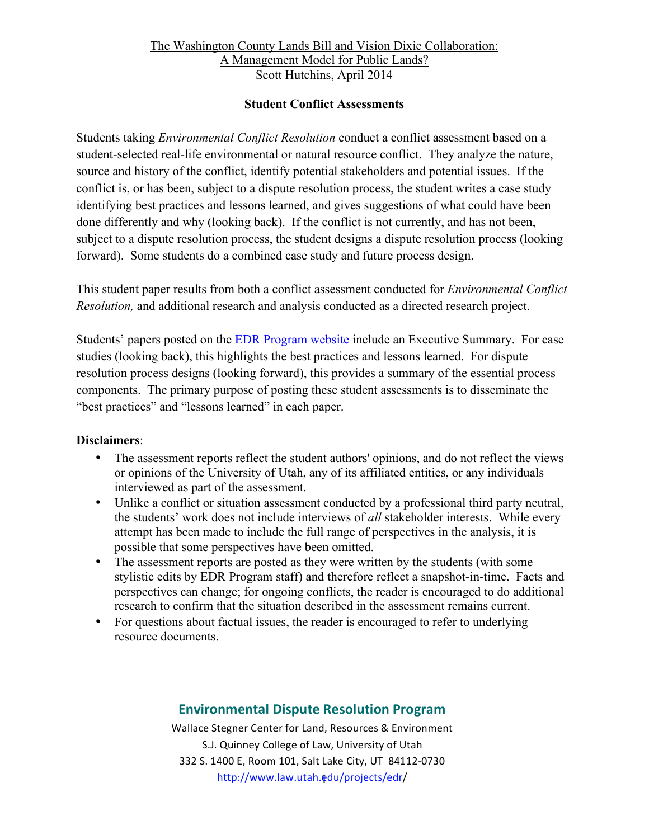#### **Student Conflict Assessments**

Students taking *Environmental Conflict Resolution* conduct a conflict assessment based on a student-selected real-life environmental or natural resource conflict. They analyze the nature, source and history of the conflict, identify potential stakeholders and potential issues. If the conflict is, or has been, subject to a dispute resolution process, the student writes a case study identifying best practices and lessons learned, and gives suggestions of what could have been done differently and why (looking back). If the conflict is not currently, and has not been, subject to a dispute resolution process, the student designs a dispute resolution process (looking forward). Some students do a combined case study and future process design.

This student paper results from both a conflict assessment conducted for *Environmental Conflict Resolution,* and additional research and analysis conducted as a directed research project.

Students' papers posted on the EDR Program website include an Executive Summary. For case studies (looking back), this highlights the best practices and lessons learned. For dispute resolution process designs (looking forward), this provides a summary of the essential process components. The primary purpose of posting these student assessments is to disseminate the "best practices" and "lessons learned" in each paper.

### **Disclaimers**:

- The assessment reports reflect the student authors' opinions, and do not reflect the views or opinions of the University of Utah, any of its affiliated entities, or any individuals interviewed as part of the assessment.
- Unlike a conflict or situation assessment conducted by a professional third party neutral, the students' work does not include interviews of *all* stakeholder interests. While every attempt has been made to include the full range of perspectives in the analysis, it is possible that some perspectives have been omitted.
- The assessment reports are posted as they were written by the students (with some stylistic edits by EDR Program staff) and therefore reflect a snapshot-in-time. Facts and perspectives can change; for ongoing conflicts, the reader is encouraged to do additional research to confirm that the situation described in the assessment remains current.
- For questions about factual issues, the reader is encouraged to refer to underlying resource documents.

# **Environmental Dispute Resolution Program**

http://www.law.utah.**@**du/projects/edr/ Wallace Stegner Center for Land, Resources & Environment S.J. Quinney College of Law, University of Utah 332 S. 1400 E, Room 101, Salt Lake City, UT 84112-0730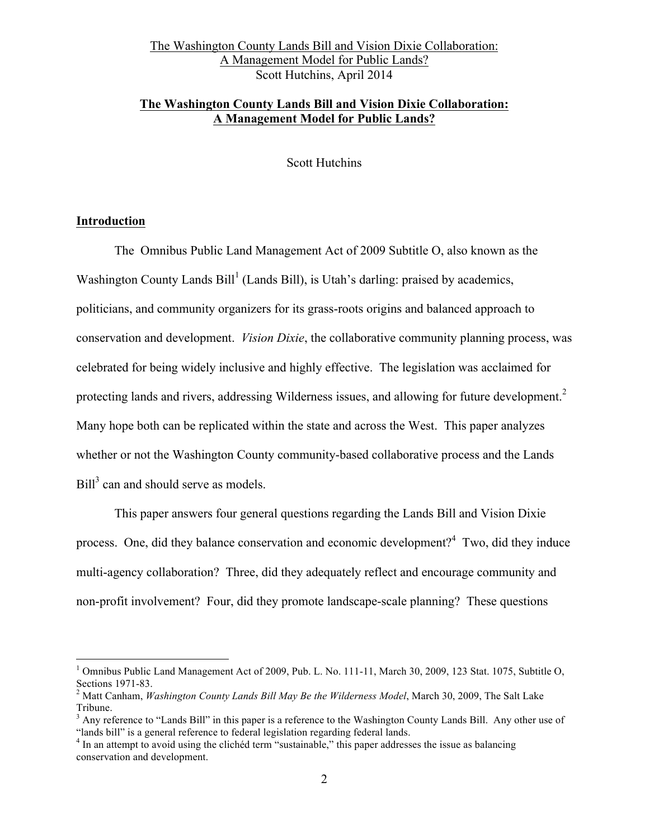# **The Washington County Lands Bill and Vision Dixie Collaboration: A Management Model for Public Lands?**

Scott Hutchins

#### **Introduction**

The Omnibus Public Land Management Act of 2009 Subtitle O, also known as the Washington County Lands  $Bill<sup>1</sup>$  (Lands Bill), is Utah's darling: praised by academics, politicians, and community organizers for its grass-roots origins and balanced approach to conservation and development. *Vision Dixie*, the collaborative community planning process, was celebrated for being widely inclusive and highly effective. The legislation was acclaimed for protecting lands and rivers, addressing Wilderness issues, and allowing for future development.<sup>2</sup> Many hope both can be replicated within the state and across the West. This paper analyzes whether or not the Washington County community-based collaborative process and the Lands Bill<sup>3</sup> can and should serve as models.

This paper answers four general questions regarding the Lands Bill and Vision Dixie process. One, did they balance conservation and economic development?<sup>4</sup> Two, did they induce multi-agency collaboration? Three, did they adequately reflect and encourage community and non-profit involvement? Four, did they promote landscape-scale planning? These questions

<sup>&</sup>lt;sup>1</sup> Omnibus Public Land Management Act of 2009, Pub. L. No. 111-11, March 30, 2009, 123 Stat. 1075, Subtitle O, Sections 1971-83.

<sup>&</sup>lt;sup>2</sup> Matt Canham, *Washington County Lands Bill May Be the Wilderness Model*, March 30, 2009, The Salt Lake Tribune.

 $3$  Any reference to "Lands Bill" in this paper is a reference to the Washington County Lands Bill. Any other use of "lands bill" is a general reference to federal legislation regarding federal lands.

 $<sup>4</sup>$  In an attempt to avoid using the clichéd term "sustainable," this paper addresses the issue as balancing</sup> conservation and development.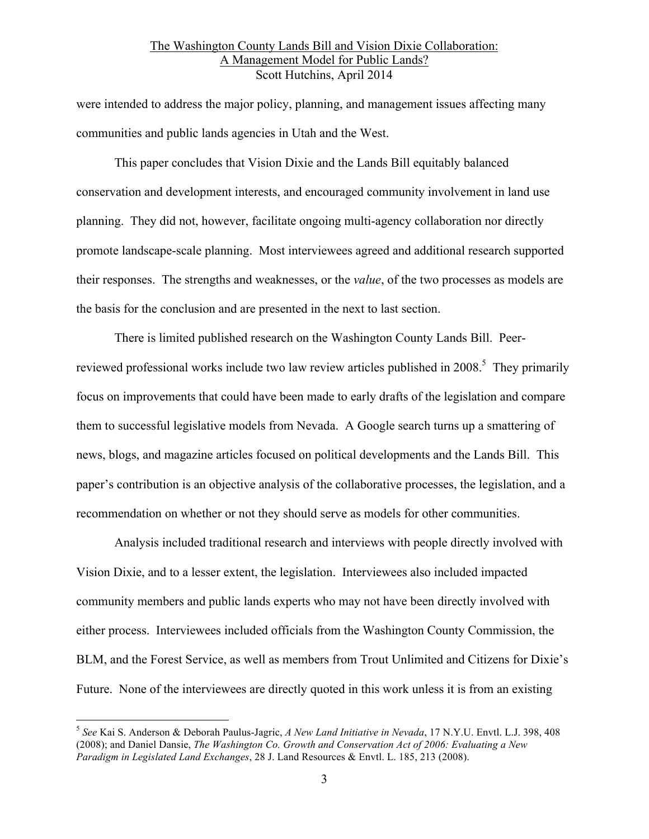were intended to address the major policy, planning, and management issues affecting many communities and public lands agencies in Utah and the West.

This paper concludes that Vision Dixie and the Lands Bill equitably balanced conservation and development interests, and encouraged community involvement in land use planning. They did not, however, facilitate ongoing multi-agency collaboration nor directly promote landscape-scale planning. Most interviewees agreed and additional research supported their responses. The strengths and weaknesses, or the *value*, of the two processes as models are the basis for the conclusion and are presented in the next to last section.

There is limited published research on the Washington County Lands Bill. Peerreviewed professional works include two law review articles published in 2008.<sup>5</sup> They primarily focus on improvements that could have been made to early drafts of the legislation and compare them to successful legislative models from Nevada. A Google search turns up a smattering of news, blogs, and magazine articles focused on political developments and the Lands Bill. This paper's contribution is an objective analysis of the collaborative processes, the legislation, and a recommendation on whether or not they should serve as models for other communities.

Analysis included traditional research and interviews with people directly involved with Vision Dixie, and to a lesser extent, the legislation. Interviewees also included impacted community members and public lands experts who may not have been directly involved with either process. Interviewees included officials from the Washington County Commission, the BLM, and the Forest Service, as well as members from Trout Unlimited and Citizens for Dixie's Future. None of the interviewees are directly quoted in this work unless it is from an existing

 <sup>5</sup> *See* Kai S. Anderson & Deborah Paulus-Jagric, *A New Land Initiative in Nevada*, 17 N.Y.U. Envtl. L.J. 398, 408 (2008); and Daniel Dansie, *The Washington Co. Growth and Conservation Act of 2006: Evaluating a New Paradigm in Legislated Land Exchanges*, 28 J. Land Resources & Envtl. L. 185, 213 (2008).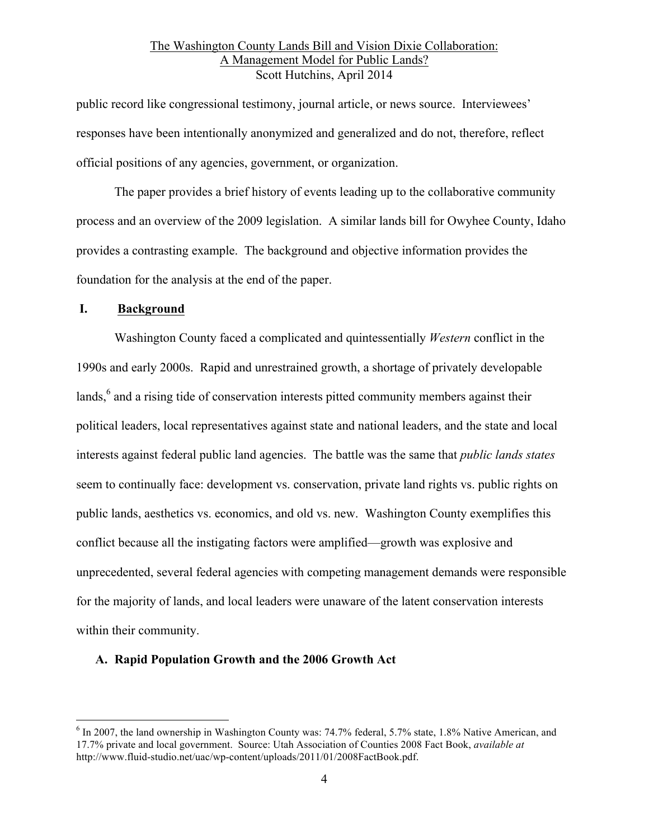public record like congressional testimony, journal article, or news source. Interviewees' responses have been intentionally anonymized and generalized and do not, therefore, reflect official positions of any agencies, government, or organization.

The paper provides a brief history of events leading up to the collaborative community process and an overview of the 2009 legislation. A similar lands bill for Owyhee County, Idaho provides a contrasting example. The background and objective information provides the foundation for the analysis at the end of the paper.

#### **I. Background**

Washington County faced a complicated and quintessentially *Western* conflict in the 1990s and early 2000s. Rapid and unrestrained growth, a shortage of privately developable lands,<sup>6</sup> and a rising tide of conservation interests pitted community members against their political leaders, local representatives against state and national leaders, and the state and local interests against federal public land agencies. The battle was the same that *public lands states* seem to continually face: development vs. conservation, private land rights vs. public rights on public lands, aesthetics vs. economics, and old vs. new. Washington County exemplifies this conflict because all the instigating factors were amplified—growth was explosive and unprecedented, several federal agencies with competing management demands were responsible for the majority of lands, and local leaders were unaware of the latent conservation interests within their community.

#### **A. Rapid Population Growth and the 2006 Growth Act**

<sup>&</sup>lt;sup>6</sup> In 2007, the land ownership in Washington County was: 74.7% federal, 5.7% state, 1.8% Native American, and 17.7% private and local government. Source: Utah Association of Counties 2008 Fact Book, *available at* http://www.fluid-studio.net/uac/wp-content/uploads/2011/01/2008FactBook.pdf.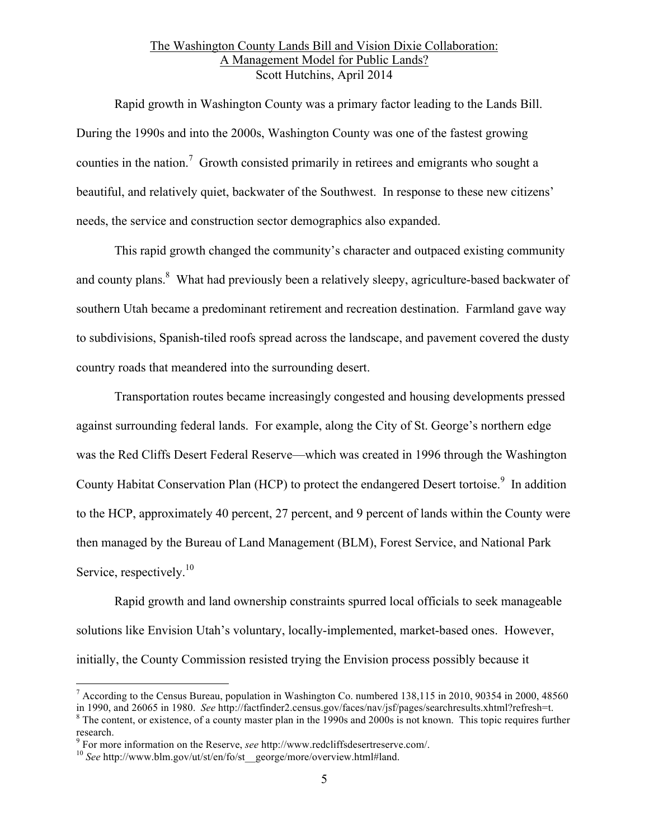Rapid growth in Washington County was a primary factor leading to the Lands Bill. During the 1990s and into the 2000s, Washington County was one of the fastest growing counties in the nation.<sup>7</sup> Growth consisted primarily in retirees and emigrants who sought a beautiful, and relatively quiet, backwater of the Southwest. In response to these new citizens' needs, the service and construction sector demographics also expanded.

This rapid growth changed the community's character and outpaced existing community and county plans.<sup>8</sup> What had previously been a relatively sleepy, agriculture-based backwater of southern Utah became a predominant retirement and recreation destination. Farmland gave way to subdivisions, Spanish-tiled roofs spread across the landscape, and pavement covered the dusty country roads that meandered into the surrounding desert.

Transportation routes became increasingly congested and housing developments pressed against surrounding federal lands. For example, along the City of St. George's northern edge was the Red Cliffs Desert Federal Reserve—which was created in 1996 through the Washington County Habitat Conservation Plan (HCP) to protect the endangered Desert tortoise.<sup>9</sup> In addition to the HCP, approximately 40 percent, 27 percent, and 9 percent of lands within the County were then managed by the Bureau of Land Management (BLM), Forest Service, and National Park Service, respectively.<sup>10</sup>

Rapid growth and land ownership constraints spurred local officials to seek manageable solutions like Envision Utah's voluntary, locally-implemented, market-based ones. However, initially, the County Commission resisted trying the Envision process possibly because it

<sup>&</sup>lt;sup>7</sup> According to the Census Bureau, population in Washington Co. numbered 138,115 in 2010, 90354 in 2000, 48560 in 1990. and 26065 in 1980. See http://factfinder2.census.gov/faces/nav/jsf/pages/searchresults.xhtml?refresh

 $\delta$  The content, or existence, of a county master plan in the 1990s and 2000s is not known. This topic requires further research.

<sup>&</sup>lt;sup>9</sup> For more information on the Reserve, *see* http://www.redcliffsdesertreserve.com/.<br><sup>10</sup> *See* http://www.blm.gov/ut/st/en/fo/st\_\_george/more/overview.html#land.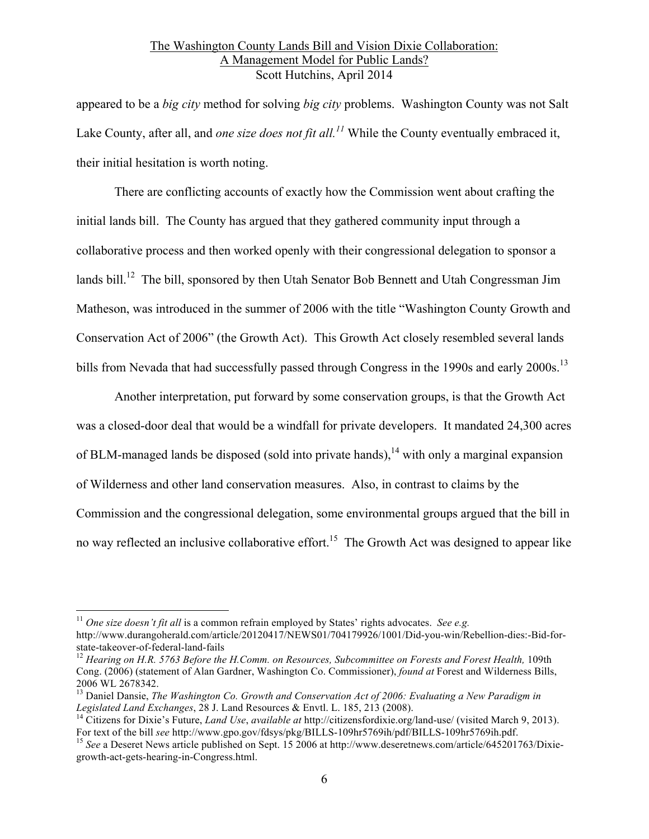appeared to be a *big city* method for solving *big city* problems. Washington County was not Salt Lake County, after all, and *one size does not fit all. <sup>11</sup>* While the County eventually embraced it, their initial hesitation is worth noting.

There are conflicting accounts of exactly how the Commission went about crafting the initial lands bill. The County has argued that they gathered community input through a collaborative process and then worked openly with their congressional delegation to sponsor a lands bill.<sup>12</sup> The bill, sponsored by then Utah Senator Bob Bennett and Utah Congressman Jim Matheson, was introduced in the summer of 2006 with the title "Washington County Growth and Conservation Act of 2006" (the Growth Act). This Growth Act closely resembled several lands bills from Nevada that had successfully passed through Congress in the 1990s and early 2000s.<sup>13</sup>

Another interpretation, put forward by some conservation groups, is that the Growth Act was a closed-door deal that would be a windfall for private developers. It mandated 24,300 acres of BLM-managed lands be disposed (sold into private hands),<sup>14</sup> with only a marginal expansion of Wilderness and other land conservation measures. Also, in contrast to claims by the Commission and the congressional delegation, some environmental groups argued that the bill in no way reflected an inclusive collaborative effort.<sup>15</sup> The Growth Act was designed to appear like

 <sup>11</sup> *One size doesn't fit all* is a common refrain employed by States' rights advocates. *See e.g.*  http://www.durangoherald.com/article/20120417/NEWS01/704179926/1001/Did-you-win/Rebellion-dies:-Bid-for-

<sup>&</sup>lt;sup>12</sup> Hearing on H.R. 5763 Before the H.Comm. on Resources, Subcommittee on Forests and Forest Health, 109th Cong. (2006) (statement of Alan Gardner, Washington Co. Commissioner), *found at* Forest and Wilderness Bills, 2006 WL 2678342. <sup>13</sup> Daniel Dansie, *The Washington Co. Growth and Conservation Act of 2006: Evaluating a New Paradigm in* 

*Legislated Land Exchanges*, 28 J. Land Resources & Envtl. L. 185, 213 (2008).<br><sup>14</sup> Citizens for Dixie's Future, *Land Use*, *available at* http://citizensfordixie.org/land-use/ (visited March 9, 2013).<br>For text of the bil

<sup>&</sup>lt;sup>15</sup> See a Deseret News article published on Sept. 15 2006 at http://www.deseretnews.com/article/645201763/Dixiegrowth-act-gets-hearing-in-Congress.html.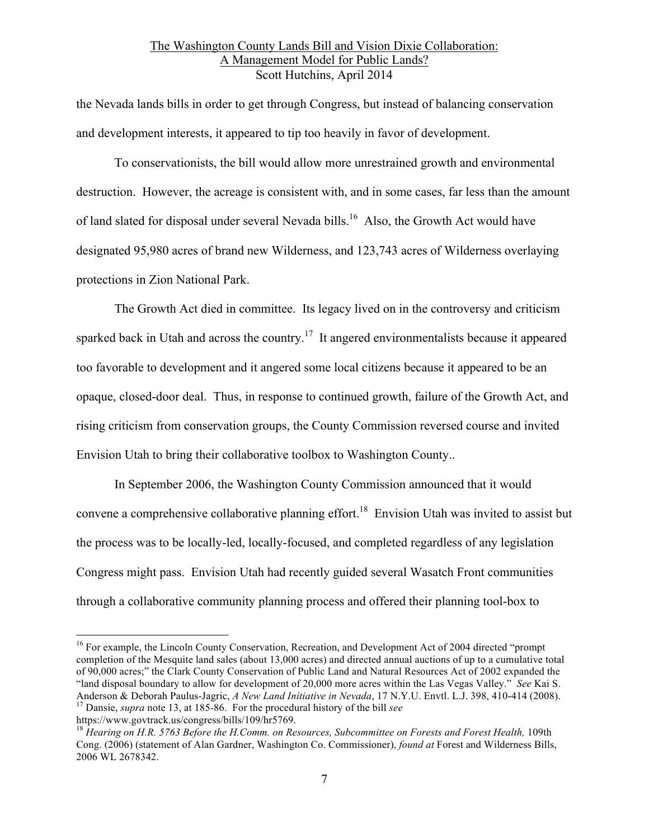the Nevada lands bills in order to get through Congress, but instead of balancing conservation and development interests, it appeared to tip too heavily in favor of development.

To conservationists, the bill would allow more unrestrained growth and environmental destruction. However, the acreage is consistent with, and in some cases, far less than the amount of land slated for disposal under several Nevada bills.<sup>16</sup> Also, the Growth Act would have designated 95,980 acres of brand new Wilderness, and 123,743 acres of Wilderness overlaying protections in Zion National Park.

The Growth Act died in committee. Its legacy lived on in the controversy and criticism sparked back in Utah and across the country.<sup>17</sup> It angered environmentalists because it appeared too favorable to development and it angered some local citizens because it appeared to be an opaque, closed-door deal. Thus, in response to continued growth, failure of the Growth Act, and rising criticism from conservation groups, the County Commission reversed course and invited Envision Utah to bring their collaborative toolbox to Washington County..

In September 2006, the Washington County Commission announced that it would convene a comprehensive collaborative planning effort.<sup>18</sup> Envision Utah was invited to assist but the process was to be locally-led, locally-focused, and completed regardless of any legislation Congress might pass. Envision Utah had recently guided several Wasatch Front communities through a collaborative community planning process and offered their planning tool-box to

<sup>&</sup>lt;sup>16</sup> For example, the Lincoln County Conservation, Recreation, and Development Act of 2004 directed "prompt completion of the Mesquite land sales (about 13,000 acres) and directed annual auctions of up to a cumulative total of 90,000 acres;" the Clark County Conservation of Public Land and Natural Resources Act of 2002 expanded the "land disposal boundary to allow for development of 20,000 more acres within the Las Vegas Valley." *See* Kai S. Anderson & Deborah Paulus-Jagric, *A New Land Initiative in Nevada*, 17 N.Y.U. Envtl. L.J. 398, 410-414 (2008). <sup>17</sup> Dansie, *supra* note 13, at 185-86. For the procedural history of the bill *see* 

https://www.govtrack.us/congress/bills/109/hr5769. 18 *Hearing on H.R. 5763 Before the H.Comm. on Resources, Subcommittee on Forests and Forest Health,* 109th Cong. (2006) (statement of Alan Gardner, Washington Co. Commissioner), *found at* Forest and Wilderness Bills, 2006 WL 2678342.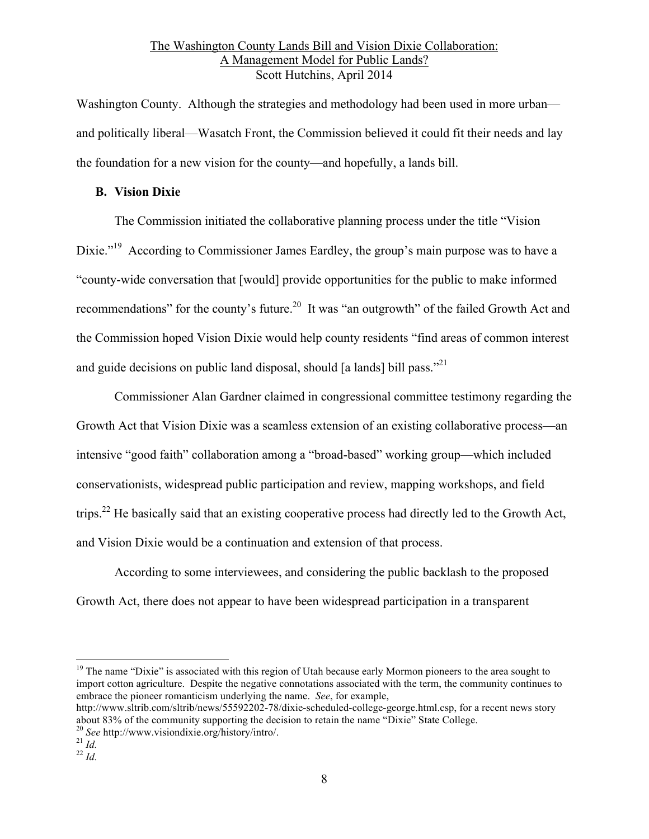Washington County. Although the strategies and methodology had been used in more urban and politically liberal—Wasatch Front, the Commission believed it could fit their needs and lay the foundation for a new vision for the county—and hopefully, a lands bill.

### **B. Vision Dixie**

The Commission initiated the collaborative planning process under the title "Vision Dixie."<sup>19</sup> According to Commissioner James Eardley, the group's main purpose was to have a "county-wide conversation that [would] provide opportunities for the public to make informed recommendations" for the county's future.<sup>20</sup> It was "an outgrowth" of the failed Growth Act and the Commission hoped Vision Dixie would help county residents "find areas of common interest and guide decisions on public land disposal, should  $\lceil a \rceil$  lands $\lceil b \rceil$  pass.<sup>221</sup>

Commissioner Alan Gardner claimed in congressional committee testimony regarding the Growth Act that Vision Dixie was a seamless extension of an existing collaborative process—an intensive "good faith" collaboration among a "broad-based" working group—which included conservationists, widespread public participation and review, mapping workshops, and field trips.<sup>22</sup> He basically said that an existing cooperative process had directly led to the Growth Act, and Vision Dixie would be a continuation and extension of that process.

According to some interviewees, and considering the public backlash to the proposed Growth Act, there does not appear to have been widespread participation in a transparent

<sup>19</sup> The name "Dixie" is associated with this region of Utah because early Mormon pioneers to the area sought to import cotton agriculture. Despite the negative connotations associated with the term, the community continues to embrace the pioneer romanticism underlying the name. *See*, for example,

http://www.sltrib.com/sltrib/news/55592202-78/dixie-scheduled-college-george.html.csp, for a recent news story about 83% of the community supporting the decision to retain the name "Dixie" State College.

<sup>20</sup> *See* http://www.visiondixie.org/history/intro/. <sup>21</sup> *Id.* <sup>22</sup> *Id.*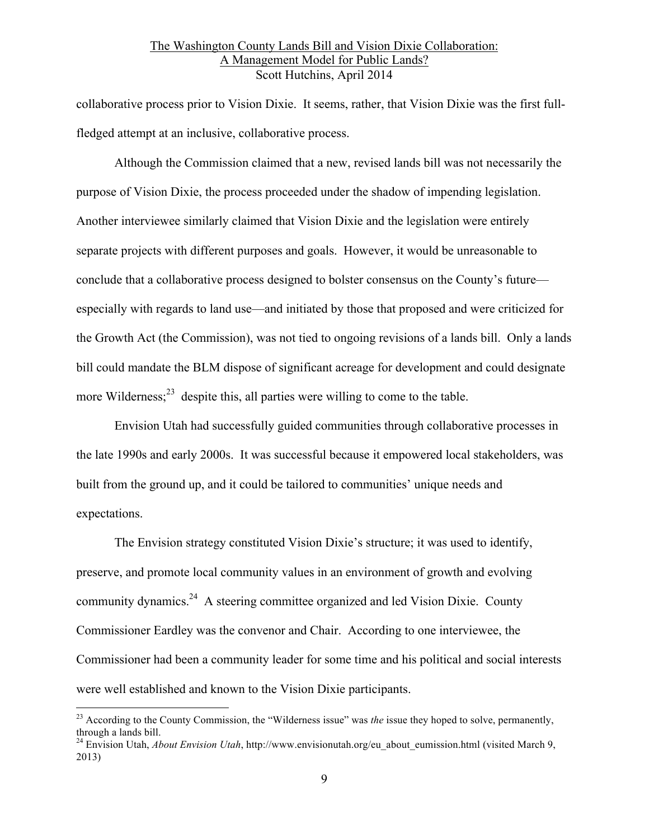collaborative process prior to Vision Dixie. It seems, rather, that Vision Dixie was the first fullfledged attempt at an inclusive, collaborative process.

Although the Commission claimed that a new, revised lands bill was not necessarily the purpose of Vision Dixie, the process proceeded under the shadow of impending legislation. Another interviewee similarly claimed that Vision Dixie and the legislation were entirely separate projects with different purposes and goals. However, it would be unreasonable to conclude that a collaborative process designed to bolster consensus on the County's future especially with regards to land use—and initiated by those that proposed and were criticized for the Growth Act (the Commission), was not tied to ongoing revisions of a lands bill. Only a lands bill could mandate the BLM dispose of significant acreage for development and could designate more Wilderness; $^{23}$  despite this, all parties were willing to come to the table.

Envision Utah had successfully guided communities through collaborative processes in the late 1990s and early 2000s. It was successful because it empowered local stakeholders, was built from the ground up, and it could be tailored to communities' unique needs and expectations.

The Envision strategy constituted Vision Dixie's structure; it was used to identify, preserve, and promote local community values in an environment of growth and evolving community dynamics.<sup>24</sup> A steering committee organized and led Vision Dixie. County Commissioner Eardley was the convenor and Chair. According to one interviewee, the Commissioner had been a community leader for some time and his political and social interests were well established and known to the Vision Dixie participants.

 <sup>23</sup> According to the County Commission, the "Wilderness issue" was *the* issue they hoped to solve, permanently, through a lands bill.

<sup>&</sup>lt;sup>24</sup> Envision Utah, *About Envision Utah*, http://www.envisionutah.org/eu\_about\_eumission.html (visited March 9, 2013)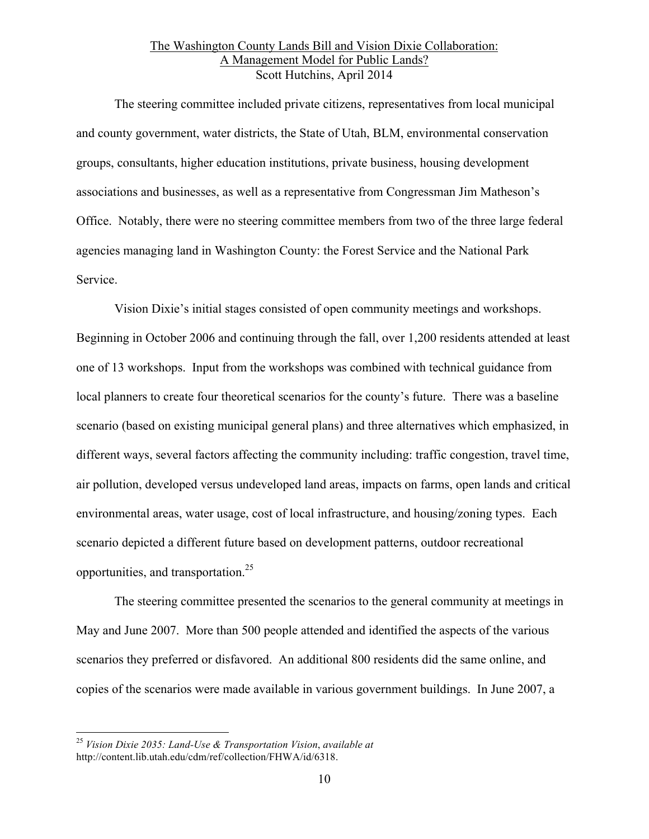The steering committee included private citizens, representatives from local municipal and county government, water districts, the State of Utah, BLM, environmental conservation groups, consultants, higher education institutions, private business, housing development associations and businesses, as well as a representative from Congressman Jim Matheson's Office. Notably, there were no steering committee members from two of the three large federal agencies managing land in Washington County: the Forest Service and the National Park Service.

Vision Dixie's initial stages consisted of open community meetings and workshops. Beginning in October 2006 and continuing through the fall, over 1,200 residents attended at least one of 13 workshops. Input from the workshops was combined with technical guidance from local planners to create four theoretical scenarios for the county's future. There was a baseline scenario (based on existing municipal general plans) and three alternatives which emphasized, in different ways, several factors affecting the community including: traffic congestion, travel time, air pollution, developed versus undeveloped land areas, impacts on farms, open lands and critical environmental areas, water usage, cost of local infrastructure, and housing/zoning types. Each scenario depicted a different future based on development patterns, outdoor recreational opportunities, and transportation.25

The steering committee presented the scenarios to the general community at meetings in May and June 2007. More than 500 people attended and identified the aspects of the various scenarios they preferred or disfavored. An additional 800 residents did the same online, and copies of the scenarios were made available in various government buildings. In June 2007, a

 <sup>25</sup> *Vision Dixie 2035: Land-Use & Transportation Vision*, *available at* http://content.lib.utah.edu/cdm/ref/collection/FHWA/id/6318.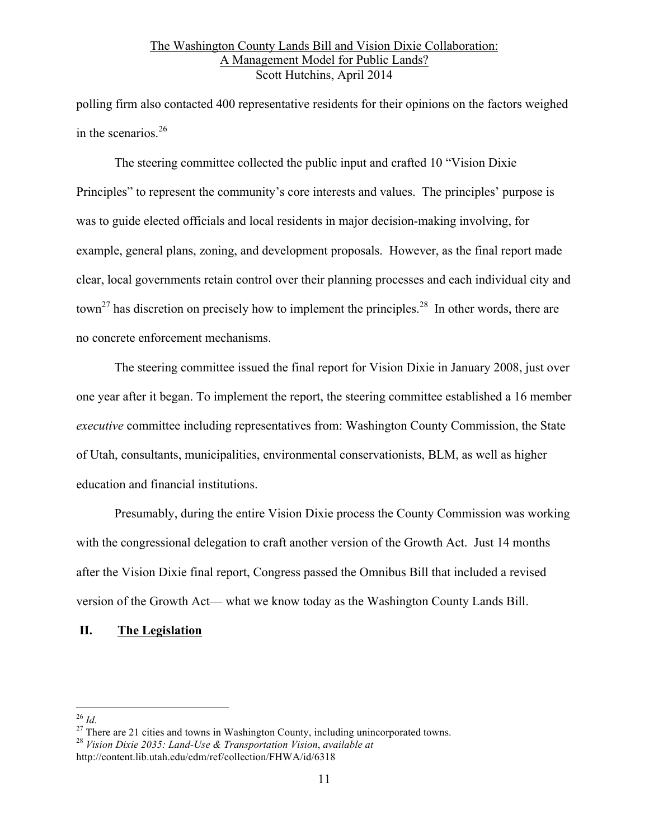polling firm also contacted 400 representative residents for their opinions on the factors weighed in the scenarios.<sup>26</sup>

The steering committee collected the public input and crafted 10 "Vision Dixie Principles" to represent the community's core interests and values. The principles' purpose is was to guide elected officials and local residents in major decision-making involving, for example, general plans, zoning, and development proposals. However, as the final report made clear, local governments retain control over their planning processes and each individual city and town<sup>27</sup> has discretion on precisely how to implement the principles.<sup>28</sup> In other words, there are no concrete enforcement mechanisms.

The steering committee issued the final report for Vision Dixie in January 2008, just over one year after it began. To implement the report, the steering committee established a 16 member *executive* committee including representatives from: Washington County Commission, the State of Utah, consultants, municipalities, environmental conservationists, BLM, as well as higher education and financial institutions.

Presumably, during the entire Vision Dixie process the County Commission was working with the congressional delegation to craft another version of the Growth Act. Just 14 months after the Vision Dixie final report, Congress passed the Omnibus Bill that included a revised version of the Growth Act— what we know today as the Washington County Lands Bill.

# **II. The Legislation**

<sup>26</sup> *Id.* <sup>27</sup> There are 21 cities and towns in Washington County, including unincorporated towns. 28 *Vision Dixie 2035: Land-Use & Transportation Vision*, *available at*

http://content.lib.utah.edu/cdm/ref/collection/FHWA/id/6318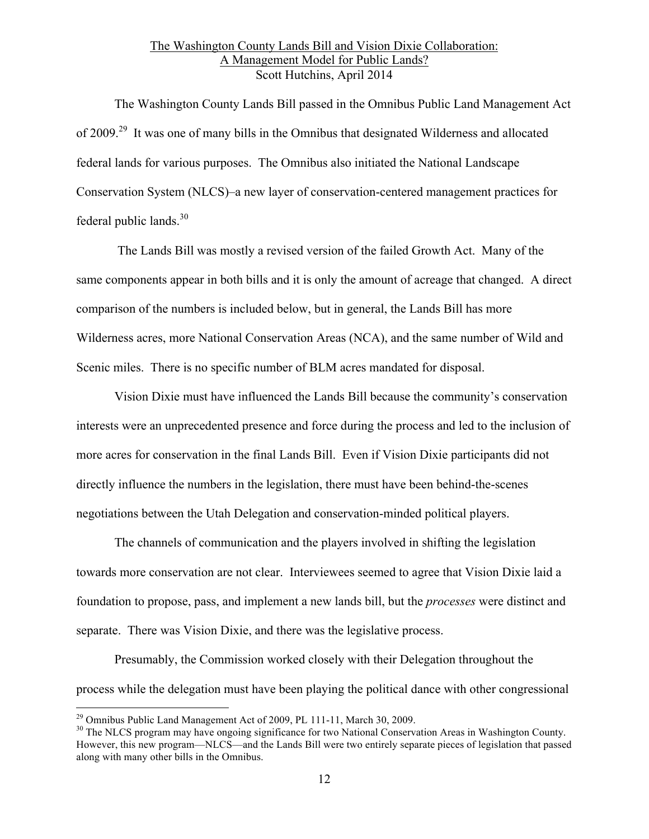The Washington County Lands Bill passed in the Omnibus Public Land Management Act of 2009.29 It was one of many bills in the Omnibus that designated Wilderness and allocated federal lands for various purposes. The Omnibus also initiated the National Landscape Conservation System (NLCS)–a new layer of conservation-centered management practices for federal public lands. $30$ 

The Lands Bill was mostly a revised version of the failed Growth Act. Many of the same components appear in both bills and it is only the amount of acreage that changed. A direct comparison of the numbers is included below, but in general, the Lands Bill has more Wilderness acres, more National Conservation Areas (NCA), and the same number of Wild and Scenic miles. There is no specific number of BLM acres mandated for disposal.

Vision Dixie must have influenced the Lands Bill because the community's conservation interests were an unprecedented presence and force during the process and led to the inclusion of more acres for conservation in the final Lands Bill. Even if Vision Dixie participants did not directly influence the numbers in the legislation, there must have been behind-the-scenes negotiations between the Utah Delegation and conservation-minded political players.

The channels of communication and the players involved in shifting the legislation towards more conservation are not clear. Interviewees seemed to agree that Vision Dixie laid a foundation to propose, pass, and implement a new lands bill, but the *processes* were distinct and separate. There was Vision Dixie, and there was the legislative process.

Presumably, the Commission worked closely with their Delegation throughout the process while the delegation must have been playing the political dance with other congressional

<sup>&</sup>lt;sup>29</sup> Omnibus Public Land Management Act of 2009, PL 111-11, March 30, 2009.<br><sup>30</sup> The NLCS program may have ongoing significance for two National Conservation Areas in Washington County. However, this new program—NLCS—and the Lands Bill were two entirely separate pieces of legislation that passed along with many other bills in the Omnibus.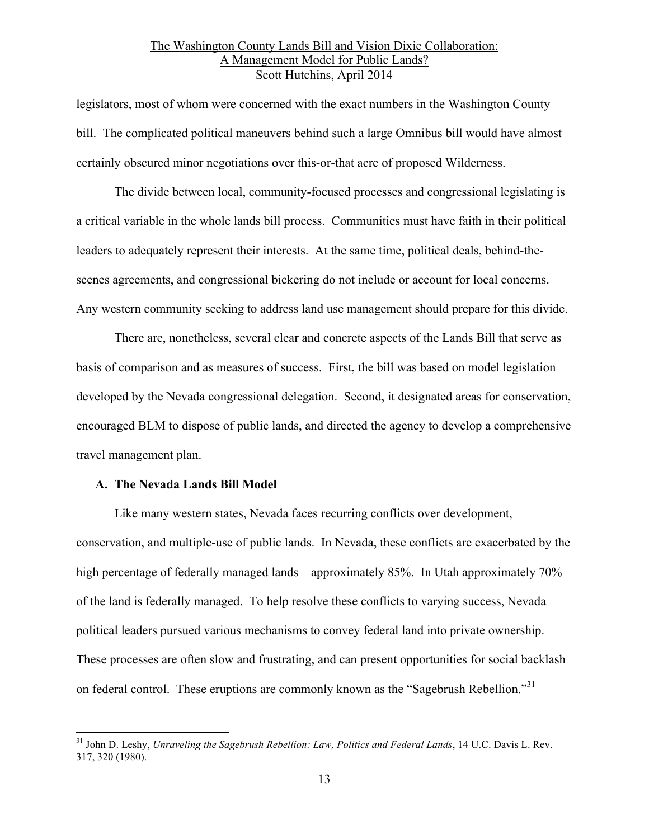legislators, most of whom were concerned with the exact numbers in the Washington County bill. The complicated political maneuvers behind such a large Omnibus bill would have almost certainly obscured minor negotiations over this-or-that acre of proposed Wilderness.

The divide between local, community-focused processes and congressional legislating is a critical variable in the whole lands bill process. Communities must have faith in their political leaders to adequately represent their interests. At the same time, political deals, behind-thescenes agreements, and congressional bickering do not include or account for local concerns. Any western community seeking to address land use management should prepare for this divide.

There are, nonetheless, several clear and concrete aspects of the Lands Bill that serve as basis of comparison and as measures of success. First, the bill was based on model legislation developed by the Nevada congressional delegation. Second, it designated areas for conservation, encouraged BLM to dispose of public lands, and directed the agency to develop a comprehensive travel management plan.

#### **A. The Nevada Lands Bill Model**

Like many western states, Nevada faces recurring conflicts over development, conservation, and multiple-use of public lands. In Nevada, these conflicts are exacerbated by the high percentage of federally managed lands—approximately 85%. In Utah approximately 70% of the land is federally managed. To help resolve these conflicts to varying success, Nevada political leaders pursued various mechanisms to convey federal land into private ownership. These processes are often slow and frustrating, and can present opportunities for social backlash on federal control. These eruptions are commonly known as the "Sagebrush Rebellion."<sup>31</sup>

 <sup>31</sup> John D. Leshy, *Unraveling the Sagebrush Rebellion: Law, Politics and Federal Lands*, 14 U.C. Davis L. Rev. 317, 320 (1980).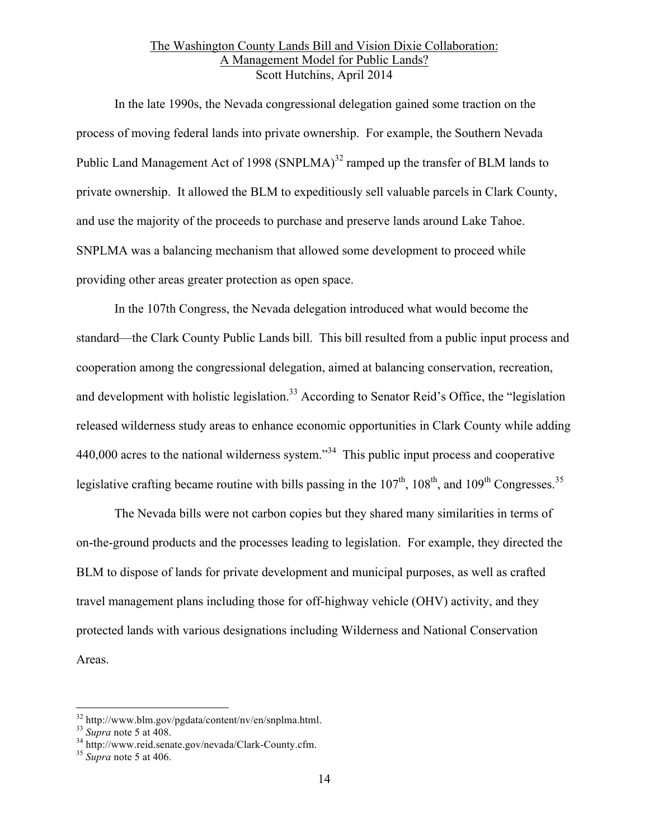In the late 1990s, the Nevada congressional delegation gained some traction on the process of moving federal lands into private ownership. For example, the Southern Nevada Public Land Management Act of 1998 (SNPLMA)<sup>32</sup> ramped up the transfer of BLM lands to private ownership. It allowed the BLM to expeditiously sell valuable parcels in Clark County, and use the majority of the proceeds to purchase and preserve lands around Lake Tahoe. SNPLMA was a balancing mechanism that allowed some development to proceed while providing other areas greater protection as open space.

In the 107th Congress, the Nevada delegation introduced what would become the standard—the Clark County Public Lands bill. This bill resulted from a public input process and cooperation among the congressional delegation, aimed at balancing conservation, recreation, and development with holistic legislation.<sup>33</sup> According to Senator Reid's Office, the "legislation" released wilderness study areas to enhance economic opportunities in Clark County while adding 440,000 acres to the national wilderness system."<sup>34</sup> This public input process and cooperative legislative crafting became routine with bills passing in the  $107<sup>th</sup>$ ,  $108<sup>th</sup>$ , and  $109<sup>th</sup>$  Congresses.<sup>35</sup>

The Nevada bills were not carbon copies but they shared many similarities in terms of on-the-ground products and the processes leading to legislation. For example, they directed the BLM to dispose of lands for private development and municipal purposes, as well as crafted travel management plans including those for off-highway vehicle (OHV) activity, and they protected lands with various designations including Wilderness and National Conservation Areas.

<sup>32</sup> http://www.blm.gov/pgdata/content/nv/en/snplma.html. <sup>33</sup> *Supra* note 5 at 408. <sup>34</sup> http://www.reid.senate.gov/nevada/Clark-County.cfm. <sup>35</sup> *Supra* note 5 at 406.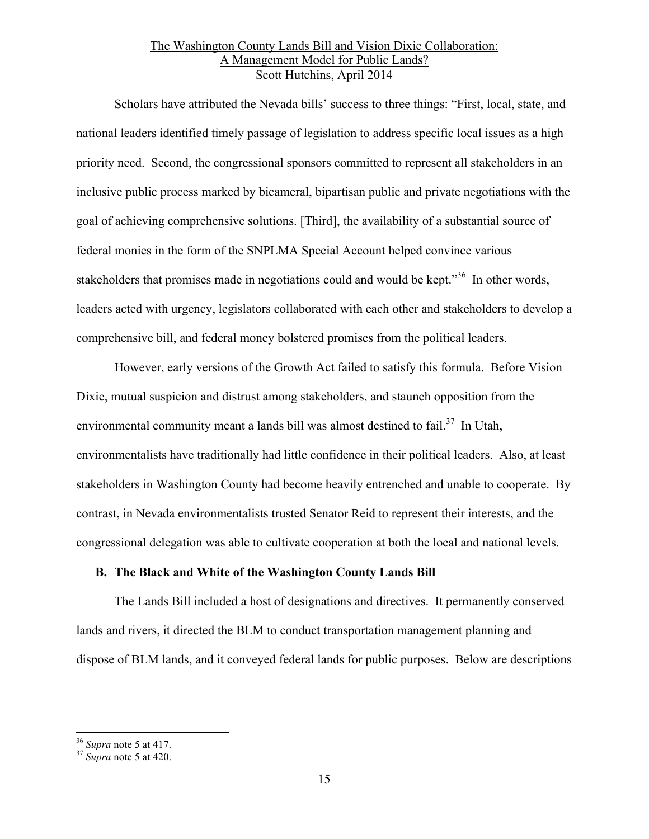Scholars have attributed the Nevada bills' success to three things: "First, local, state, and national leaders identified timely passage of legislation to address specific local issues as a high priority need. Second, the congressional sponsors committed to represent all stakeholders in an inclusive public process marked by bicameral, bipartisan public and private negotiations with the goal of achieving comprehensive solutions. [Third], the availability of a substantial source of federal monies in the form of the SNPLMA Special Account helped convince various stakeholders that promises made in negotiations could and would be kept."<sup>36</sup> In other words, leaders acted with urgency, legislators collaborated with each other and stakeholders to develop a comprehensive bill, and federal money bolstered promises from the political leaders.

However, early versions of the Growth Act failed to satisfy this formula. Before Vision Dixie, mutual suspicion and distrust among stakeholders, and staunch opposition from the environmental community meant a lands bill was almost destined to fail.<sup>37</sup> In Utah, environmentalists have traditionally had little confidence in their political leaders. Also, at least stakeholders in Washington County had become heavily entrenched and unable to cooperate. By contrast, in Nevada environmentalists trusted Senator Reid to represent their interests, and the congressional delegation was able to cultivate cooperation at both the local and national levels.

### **B. The Black and White of the Washington County Lands Bill**

The Lands Bill included a host of designations and directives. It permanently conserved lands and rivers, it directed the BLM to conduct transportation management planning and dispose of BLM lands, and it conveyed federal lands for public purposes. Below are descriptions

<sup>36</sup> *Supra* note 5 at 417. <sup>37</sup> *Supra* note 5 at 420.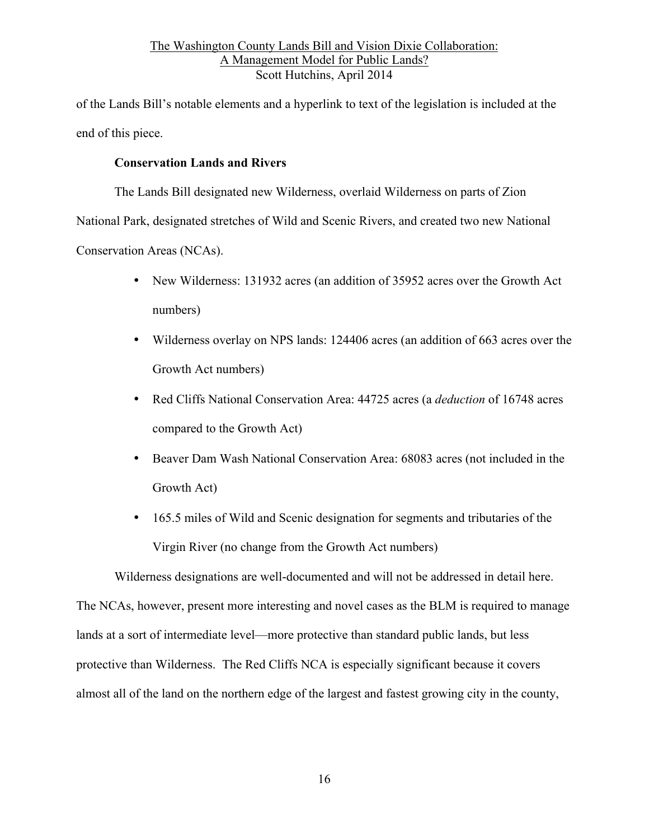of the Lands Bill's notable elements and a hyperlink to text of the legislation is included at the end of this piece.

# **Conservation Lands and Rivers**

The Lands Bill designated new Wilderness, overlaid Wilderness on parts of Zion

National Park, designated stretches of Wild and Scenic Rivers, and created two new National

Conservation Areas (NCAs).

- New Wilderness: 131932 acres (an addition of 35952 acres over the Growth Act numbers)
- Wilderness overlay on NPS lands: 124406 acres (an addition of 663 acres over the Growth Act numbers)
- Red Cliffs National Conservation Area: 44725 acres (a *deduction* of 16748 acres compared to the Growth Act)
- Beaver Dam Wash National Conservation Area: 68083 acres (not included in the Growth Act)
- 165.5 miles of Wild and Scenic designation for segments and tributaries of the Virgin River (no change from the Growth Act numbers)

Wilderness designations are well-documented and will not be addressed in detail here.

The NCAs, however, present more interesting and novel cases as the BLM is required to manage lands at a sort of intermediate level—more protective than standard public lands, but less protective than Wilderness. The Red Cliffs NCA is especially significant because it covers almost all of the land on the northern edge of the largest and fastest growing city in the county,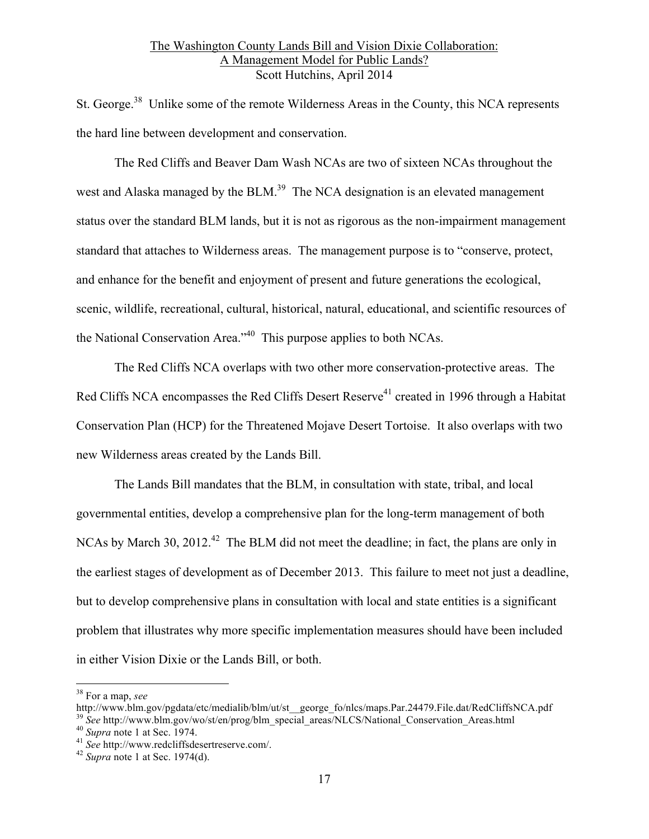St. George.<sup>38</sup> Unlike some of the remote Wilderness Areas in the County, this NCA represents the hard line between development and conservation.

The Red Cliffs and Beaver Dam Wash NCAs are two of sixteen NCAs throughout the west and Alaska managed by the BLM.<sup>39</sup> The NCA designation is an elevated management status over the standard BLM lands, but it is not as rigorous as the non-impairment management standard that attaches to Wilderness areas. The management purpose is to "conserve, protect, and enhance for the benefit and enjoyment of present and future generations the ecological, scenic, wildlife, recreational, cultural, historical, natural, educational, and scientific resources of the National Conservation Area."40 This purpose applies to both NCAs.

The Red Cliffs NCA overlaps with two other more conservation-protective areas. The Red Cliffs NCA encompasses the Red Cliffs Desert Reserve<sup>41</sup> created in 1996 through a Habitat Conservation Plan (HCP) for the Threatened Mojave Desert Tortoise. It also overlaps with two new Wilderness areas created by the Lands Bill.

The Lands Bill mandates that the BLM, in consultation with state, tribal, and local governmental entities, develop a comprehensive plan for the long-term management of both NCAs by March 30, 2012.<sup>42</sup> The BLM did not meet the deadline; in fact, the plans are only in the earliest stages of development as of December 2013. This failure to meet not just a deadline, but to develop comprehensive plans in consultation with local and state entities is a significant problem that illustrates why more specific implementation measures should have been included in either Vision Dixie or the Lands Bill, or both.

38 For a map, *see* 

http://www.blm.gov/pgdata/etc/medialib/blm/ut/st\_\_george\_fo/nlcs/maps.Par.24479.File.dat/RedCliffsNCA.pdf

<sup>&</sup>lt;sup>39</sup> See http://www.blm.gov/wo/st/en/prog/blm\_special\_areas/NLCS/National\_Conservation\_Areas.html <sup>40</sup> Supra note 1 at Sec. 1974.<br><sup>41</sup> See http://www.redcliffsdesertreserve.com/.<br><sup>42</sup> Supra note 1 at Sec. 1974(d).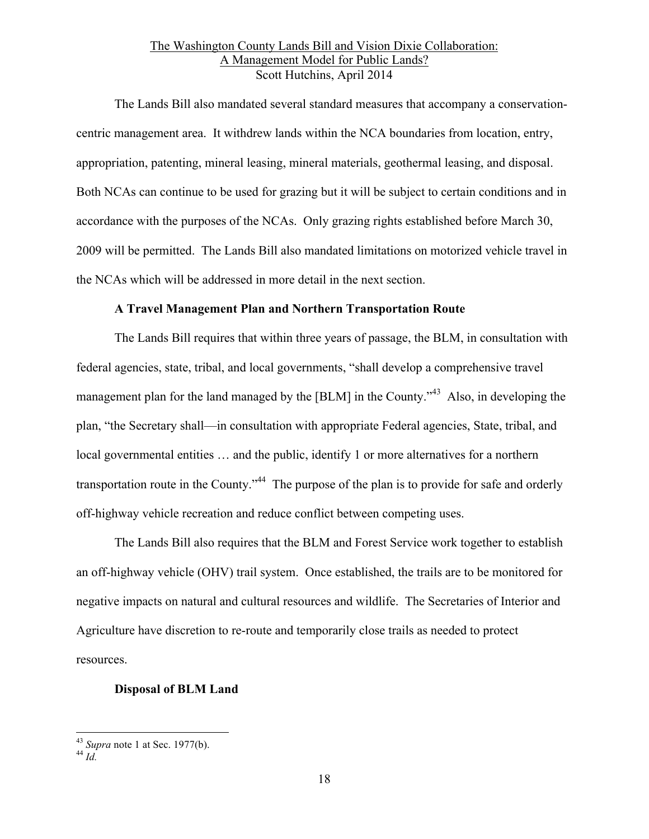The Lands Bill also mandated several standard measures that accompany a conservationcentric management area. It withdrew lands within the NCA boundaries from location, entry, appropriation, patenting, mineral leasing, mineral materials, geothermal leasing, and disposal. Both NCAs can continue to be used for grazing but it will be subject to certain conditions and in accordance with the purposes of the NCAs. Only grazing rights established before March 30, 2009 will be permitted. The Lands Bill also mandated limitations on motorized vehicle travel in the NCAs which will be addressed in more detail in the next section.

# **A Travel Management Plan and Northern Transportation Route**

The Lands Bill requires that within three years of passage, the BLM, in consultation with federal agencies, state, tribal, and local governments, "shall develop a comprehensive travel management plan for the land managed by the [BLM] in the County.<sup>43</sup> Also, in developing the plan, "the Secretary shall—in consultation with appropriate Federal agencies, State, tribal, and local governmental entities ... and the public, identify 1 or more alternatives for a northern transportation route in the County.<sup>344</sup> The purpose of the plan is to provide for safe and orderly off-highway vehicle recreation and reduce conflict between competing uses.

The Lands Bill also requires that the BLM and Forest Service work together to establish an off-highway vehicle (OHV) trail system. Once established, the trails are to be monitored for negative impacts on natural and cultural resources and wildlife. The Secretaries of Interior and Agriculture have discretion to re-route and temporarily close trails as needed to protect resources.

#### **Disposal of BLM Land**

<sup>43</sup> *Supra* note 1 at Sec. 1977(b). <sup>44</sup> *Id.*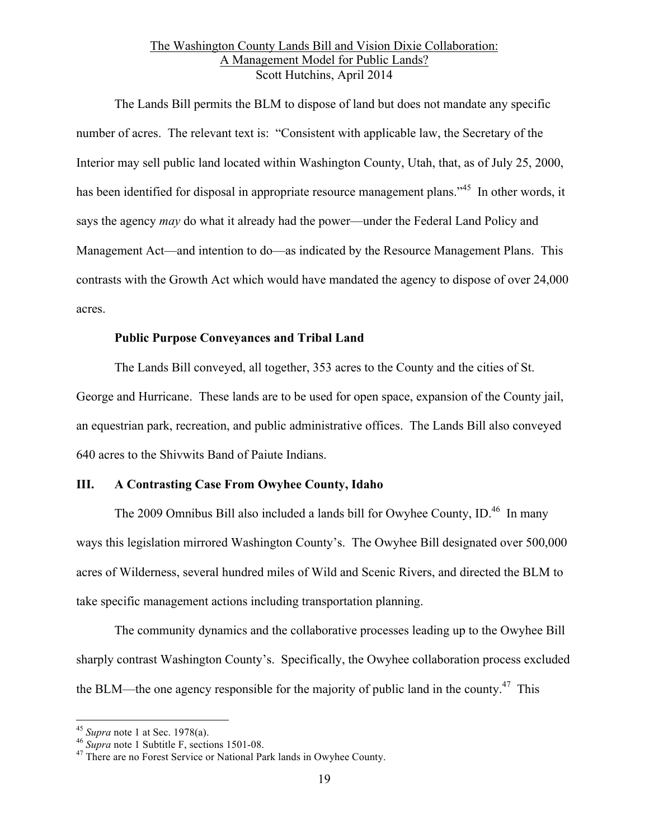The Lands Bill permits the BLM to dispose of land but does not mandate any specific number of acres. The relevant text is: "Consistent with applicable law, the Secretary of the Interior may sell public land located within Washington County, Utah, that, as of July 25, 2000, has been identified for disposal in appropriate resource management plans."<sup>45</sup> In other words, it says the agency *may* do what it already had the power—under the Federal Land Policy and Management Act—and intention to do—as indicated by the Resource Management Plans. This contrasts with the Growth Act which would have mandated the agency to dispose of over 24,000 acres.

# **Public Purpose Conveyances and Tribal Land**

The Lands Bill conveyed, all together, 353 acres to the County and the cities of St. George and Hurricane. These lands are to be used for open space, expansion of the County jail, an equestrian park, recreation, and public administrative offices. The Lands Bill also conveyed 640 acres to the Shivwits Band of Paiute Indians.

# **III. A Contrasting Case From Owyhee County, Idaho**

The 2009 Omnibus Bill also included a lands bill for Owyhee County, ID.<sup>46</sup> In many ways this legislation mirrored Washington County's. The Owyhee Bill designated over 500,000 acres of Wilderness, several hundred miles of Wild and Scenic Rivers, and directed the BLM to take specific management actions including transportation planning.

The community dynamics and the collaborative processes leading up to the Owyhee Bill sharply contrast Washington County's. Specifically, the Owyhee collaboration process excluded the BLM—the one agency responsible for the majority of public land in the county.<sup>47</sup> This

<sup>&</sup>lt;sup>45</sup> *Supra* note 1 at Sec. 1978(a).<br><sup>46</sup> *Supra* note 1 Subtitle F, sections 1501-08.<br><sup>47</sup> There are no Forest Service or National Park lands in Owyhee County.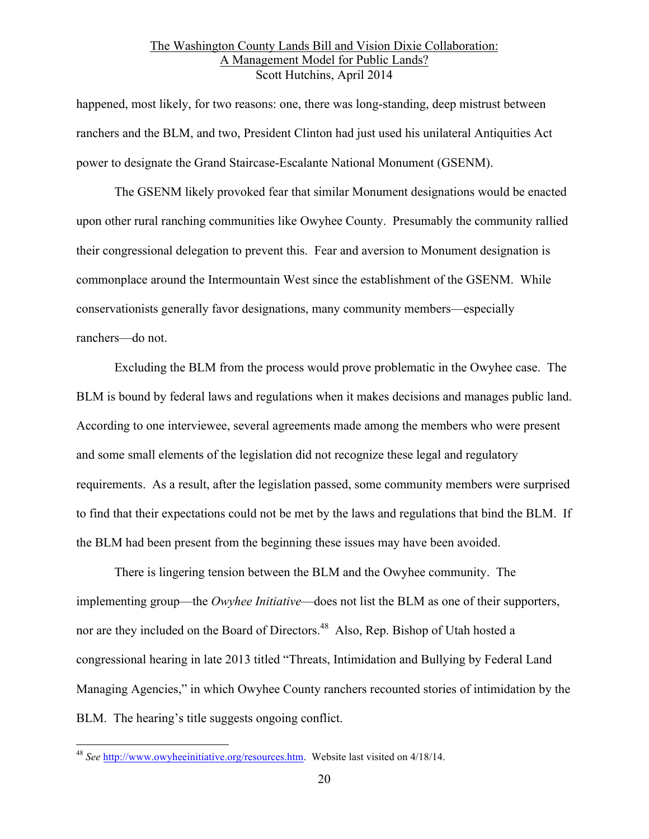happened, most likely, for two reasons: one, there was long-standing, deep mistrust between ranchers and the BLM, and two, President Clinton had just used his unilateral Antiquities Act power to designate the Grand Staircase-Escalante National Monument (GSENM).

The GSENM likely provoked fear that similar Monument designations would be enacted upon other rural ranching communities like Owyhee County. Presumably the community rallied their congressional delegation to prevent this. Fear and aversion to Monument designation is commonplace around the Intermountain West since the establishment of the GSENM. While conservationists generally favor designations, many community members—especially ranchers—do not.

Excluding the BLM from the process would prove problematic in the Owyhee case. The BLM is bound by federal laws and regulations when it makes decisions and manages public land. According to one interviewee, several agreements made among the members who were present and some small elements of the legislation did not recognize these legal and regulatory requirements. As a result, after the legislation passed, some community members were surprised to find that their expectations could not be met by the laws and regulations that bind the BLM. If the BLM had been present from the beginning these issues may have been avoided.

There is lingering tension between the BLM and the Owyhee community. The implementing group—the *Owyhee Initiative*—does not list the BLM as one of their supporters, nor are they included on the Board of Directors.<sup>48</sup> Also, Rep. Bishop of Utah hosted a congressional hearing in late 2013 titled "Threats, Intimidation and Bullying by Federal Land Managing Agencies," in which Owyhee County ranchers recounted stories of intimidation by the BLM. The hearing's title suggests ongoing conflict.

 <sup>48</sup> *See* http://www.owyheeinitiative.org/resources.htm. Website last visited on 4/18/14.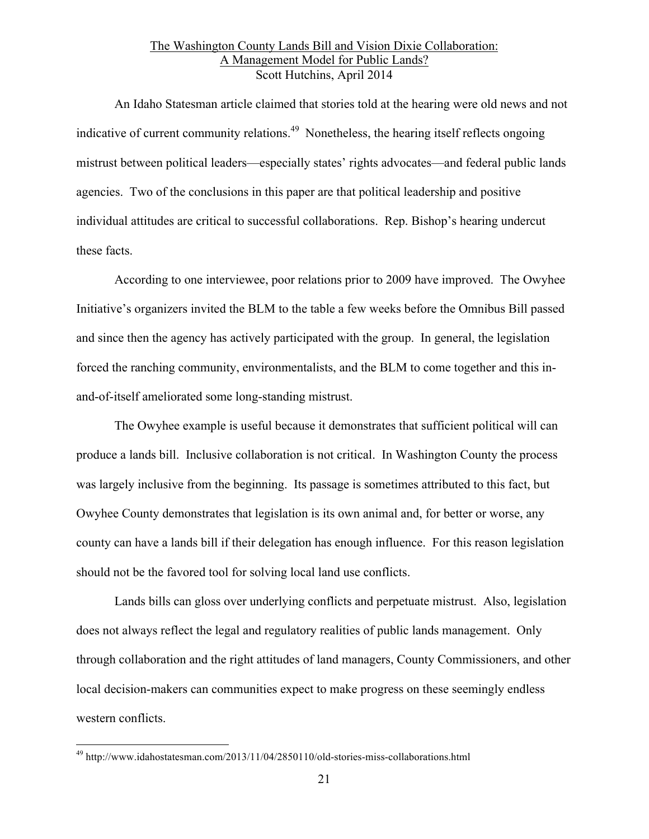An Idaho Statesman article claimed that stories told at the hearing were old news and not indicative of current community relations.<sup>49</sup> Nonetheless, the hearing itself reflects ongoing mistrust between political leaders—especially states' rights advocates—and federal public lands agencies. Two of the conclusions in this paper are that political leadership and positive individual attitudes are critical to successful collaborations. Rep. Bishop's hearing undercut these facts.

According to one interviewee, poor relations prior to 2009 have improved. The Owyhee Initiative's organizers invited the BLM to the table a few weeks before the Omnibus Bill passed and since then the agency has actively participated with the group. In general, the legislation forced the ranching community, environmentalists, and the BLM to come together and this inand-of-itself ameliorated some long-standing mistrust.

The Owyhee example is useful because it demonstrates that sufficient political will can produce a lands bill. Inclusive collaboration is not critical. In Washington County the process was largely inclusive from the beginning. Its passage is sometimes attributed to this fact, but Owyhee County demonstrates that legislation is its own animal and, for better or worse, any county can have a lands bill if their delegation has enough influence. For this reason legislation should not be the favored tool for solving local land use conflicts.

Lands bills can gloss over underlying conflicts and perpetuate mistrust. Also, legislation does not always reflect the legal and regulatory realities of public lands management. Only through collaboration and the right attitudes of land managers, County Commissioners, and other local decision-makers can communities expect to make progress on these seemingly endless western conflicts.

 <sup>49</sup> http://www.idahostatesman.com/2013/11/04/2850110/old-stories-miss-collaborations.html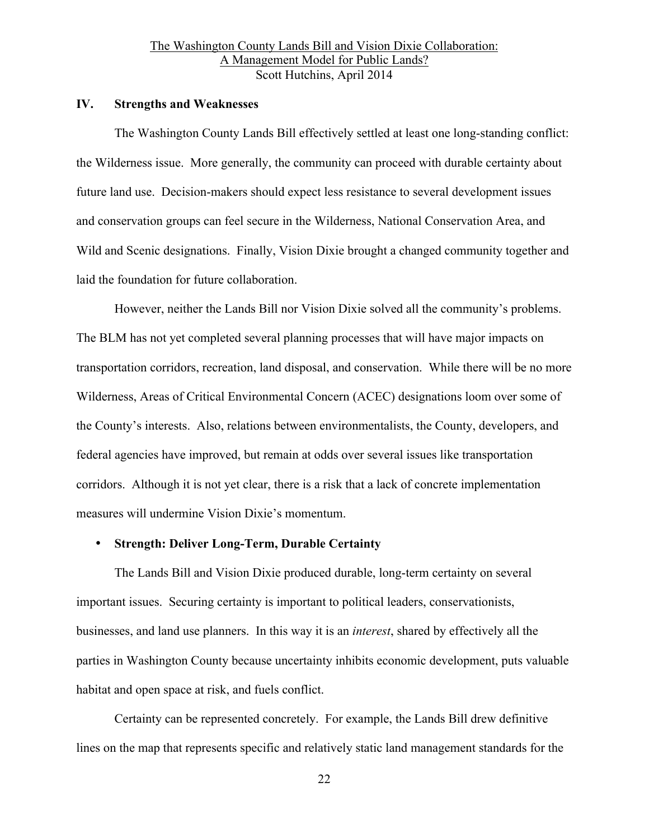#### **IV. Strengths and Weaknesses**

The Washington County Lands Bill effectively settled at least one long-standing conflict: the Wilderness issue. More generally, the community can proceed with durable certainty about future land use. Decision-makers should expect less resistance to several development issues and conservation groups can feel secure in the Wilderness, National Conservation Area, and Wild and Scenic designations. Finally, Vision Dixie brought a changed community together and laid the foundation for future collaboration.

However, neither the Lands Bill nor Vision Dixie solved all the community's problems. The BLM has not yet completed several planning processes that will have major impacts on transportation corridors, recreation, land disposal, and conservation. While there will be no more Wilderness, Areas of Critical Environmental Concern (ACEC) designations loom over some of the County's interests. Also, relations between environmentalists, the County, developers, and federal agencies have improved, but remain at odds over several issues like transportation corridors. Although it is not yet clear, there is a risk that a lack of concrete implementation measures will undermine Vision Dixie's momentum.

### • **Strength: Deliver Long-Term, Durable Certainty**

The Lands Bill and Vision Dixie produced durable, long-term certainty on several important issues. Securing certainty is important to political leaders, conservationists, businesses, and land use planners. In this way it is an *interest*, shared by effectively all the parties in Washington County because uncertainty inhibits economic development, puts valuable habitat and open space at risk, and fuels conflict.

Certainty can be represented concretely. For example, the Lands Bill drew definitive lines on the map that represents specific and relatively static land management standards for the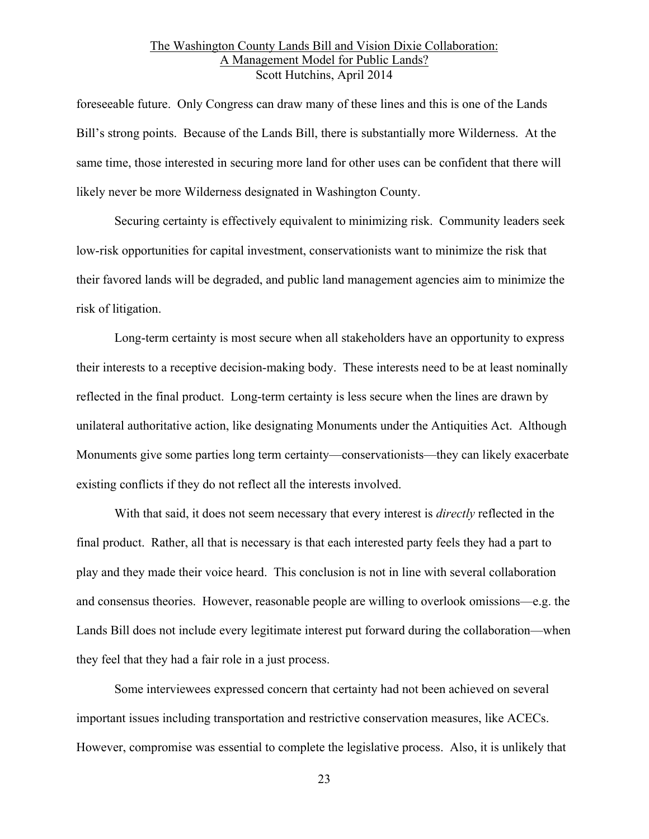foreseeable future. Only Congress can draw many of these lines and this is one of the Lands Bill's strong points. Because of the Lands Bill, there is substantially more Wilderness. At the same time, those interested in securing more land for other uses can be confident that there will likely never be more Wilderness designated in Washington County.

Securing certainty is effectively equivalent to minimizing risk. Community leaders seek low-risk opportunities for capital investment, conservationists want to minimize the risk that their favored lands will be degraded, and public land management agencies aim to minimize the risk of litigation.

Long-term certainty is most secure when all stakeholders have an opportunity to express their interests to a receptive decision-making body. These interests need to be at least nominally reflected in the final product. Long-term certainty is less secure when the lines are drawn by unilateral authoritative action, like designating Monuments under the Antiquities Act. Although Monuments give some parties long term certainty—conservationists—they can likely exacerbate existing conflicts if they do not reflect all the interests involved.

With that said, it does not seem necessary that every interest is *directly* reflected in the final product. Rather, all that is necessary is that each interested party feels they had a part to play and they made their voice heard. This conclusion is not in line with several collaboration and consensus theories. However, reasonable people are willing to overlook omissions—e.g. the Lands Bill does not include every legitimate interest put forward during the collaboration—when they feel that they had a fair role in a just process.

Some interviewees expressed concern that certainty had not been achieved on several important issues including transportation and restrictive conservation measures, like ACECs. However, compromise was essential to complete the legislative process. Also, it is unlikely that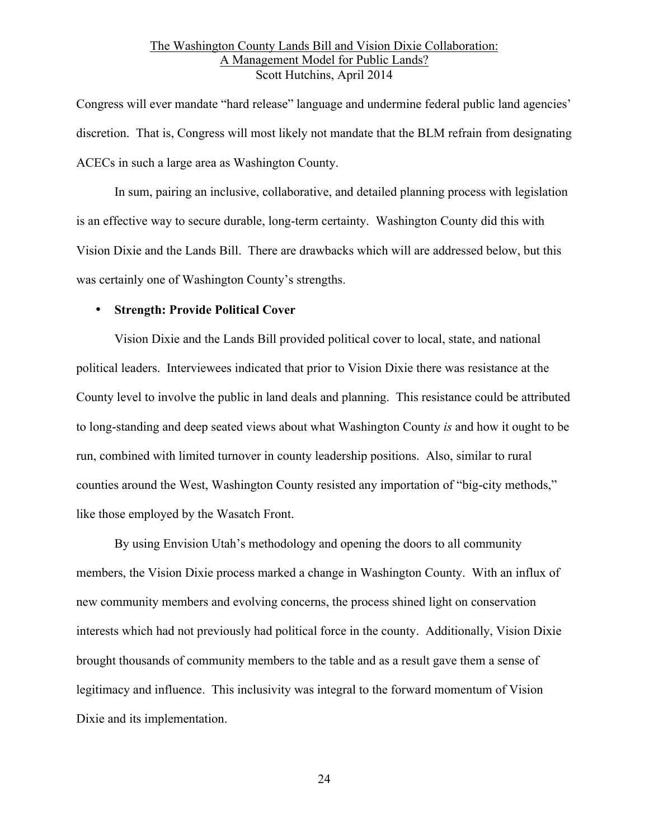Congress will ever mandate "hard release" language and undermine federal public land agencies' discretion. That is, Congress will most likely not mandate that the BLM refrain from designating ACECs in such a large area as Washington County.

In sum, pairing an inclusive, collaborative, and detailed planning process with legislation is an effective way to secure durable, long-term certainty. Washington County did this with Vision Dixie and the Lands Bill. There are drawbacks which will are addressed below, but this was certainly one of Washington County's strengths.

#### • **Strength: Provide Political Cover**

Vision Dixie and the Lands Bill provided political cover to local, state, and national political leaders. Interviewees indicated that prior to Vision Dixie there was resistance at the County level to involve the public in land deals and planning. This resistance could be attributed to long-standing and deep seated views about what Washington County *is* and how it ought to be run, combined with limited turnover in county leadership positions. Also, similar to rural counties around the West, Washington County resisted any importation of "big-city methods," like those employed by the Wasatch Front.

By using Envision Utah's methodology and opening the doors to all community members, the Vision Dixie process marked a change in Washington County. With an influx of new community members and evolving concerns, the process shined light on conservation interests which had not previously had political force in the county. Additionally, Vision Dixie brought thousands of community members to the table and as a result gave them a sense of legitimacy and influence. This inclusivity was integral to the forward momentum of Vision Dixie and its implementation.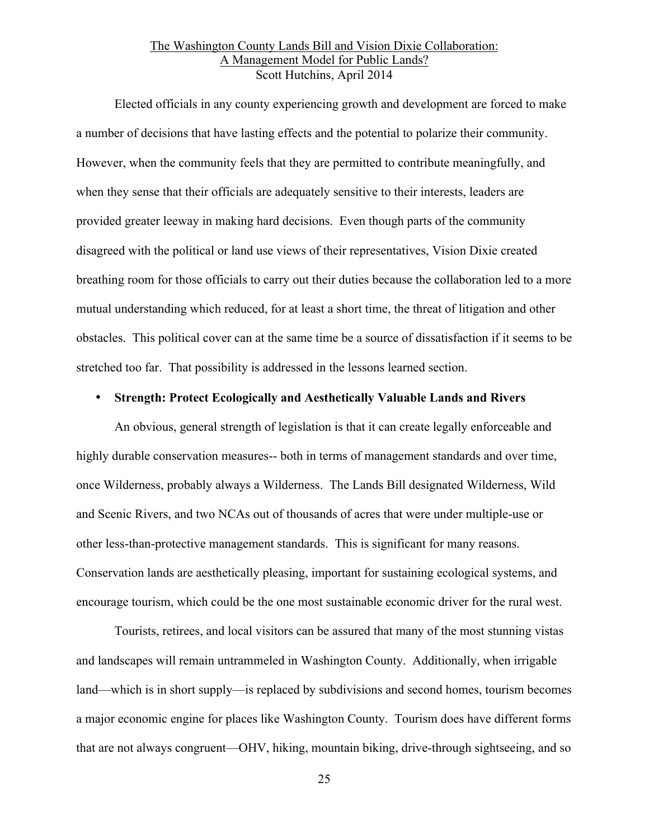Elected officials in any county experiencing growth and development are forced to make a number of decisions that have lasting effects and the potential to polarize their community. However, when the community feels that they are permitted to contribute meaningfully, and when they sense that their officials are adequately sensitive to their interests, leaders are provided greater leeway in making hard decisions. Even though parts of the community disagreed with the political or land use views of their representatives, Vision Dixie created breathing room for those officials to carry out their duties because the collaboration led to a more mutual understanding which reduced, for at least a short time, the threat of litigation and other obstacles. This political cover can at the same time be a source of dissatisfaction if it seems to be stretched too far. That possibility is addressed in the lessons learned section.

#### • **Strength: Protect Ecologically and Aesthetically Valuable Lands and Rivers**

An obvious, general strength of legislation is that it can create legally enforceable and highly durable conservation measures-- both in terms of management standards and over time, once Wilderness, probably always a Wilderness. The Lands Bill designated Wilderness, Wild and Scenic Rivers, and two NCAs out of thousands of acres that were under multiple-use or other less-than-protective management standards. This is significant for many reasons. Conservation lands are aesthetically pleasing, important for sustaining ecological systems, and encourage tourism, which could be the one most sustainable economic driver for the rural west.

Tourists, retirees, and local visitors can be assured that many of the most stunning vistas and landscapes will remain untrammeled in Washington County.Additionally, when irrigable land—which is in short supply—is replaced by subdivisions and second homes, tourism becomes a major economic engine for places like Washington County. Tourism does have different forms that are not always congruent—OHV, hiking, mountain biking, drive-through sightseeing, and so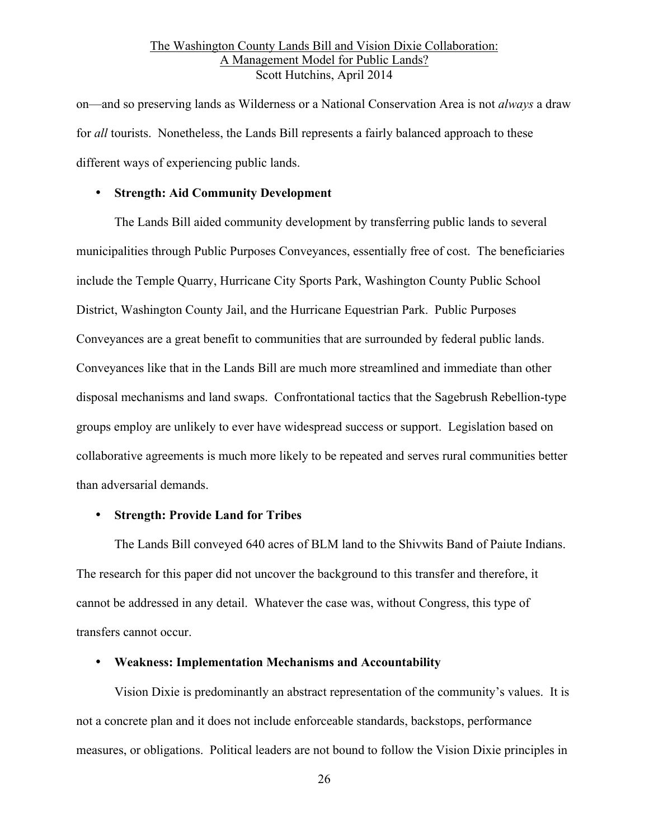on—and so preserving lands as Wilderness or a National Conservation Area is not *always* a draw for *all* tourists. Nonetheless, the Lands Bill represents a fairly balanced approach to these different ways of experiencing public lands.

#### • **Strength: Aid Community Development**

The Lands Bill aided community development by transferring public lands to several municipalities through Public Purposes Conveyances, essentially free of cost. The beneficiaries include the Temple Quarry, Hurricane City Sports Park, Washington County Public School District, Washington County Jail, and the Hurricane Equestrian Park. Public Purposes Conveyances are a great benefit to communities that are surrounded by federal public lands. Conveyances like that in the Lands Bill are much more streamlined and immediate than other disposal mechanisms and land swaps. Confrontational tactics that the Sagebrush Rebellion-type groups employ are unlikely to ever have widespread success or support. Legislation based on collaborative agreements is much more likely to be repeated and serves rural communities better than adversarial demands.

#### • **Strength: Provide Land for Tribes**

The Lands Bill conveyed 640 acres of BLM land to the Shivwits Band of Paiute Indians. The research for this paper did not uncover the background to this transfer and therefore, it cannot be addressed in any detail. Whatever the case was, without Congress, this type of transfers cannot occur.

#### • **Weakness: Implementation Mechanisms and Accountability**

Vision Dixie is predominantly an abstract representation of the community's values. It is not a concrete plan and it does not include enforceable standards, backstops, performance measures, or obligations. Political leaders are not bound to follow the Vision Dixie principles in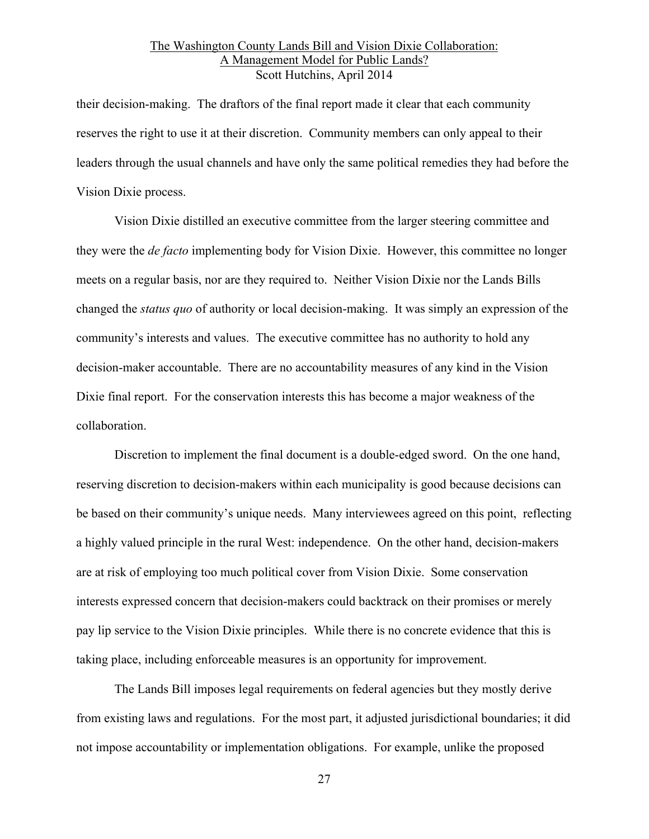their decision-making. The draftors of the final report made it clear that each community reserves the right to use it at their discretion. Community members can only appeal to their leaders through the usual channels and have only the same political remedies they had before the Vision Dixie process.

Vision Dixie distilled an executive committee from the larger steering committee and they were the *de facto* implementing body for Vision Dixie. However, this committee no longer meets on a regular basis, nor are they required to. Neither Vision Dixie nor the Lands Bills changed the *status quo* of authority or local decision-making. It was simply an expression of the community's interests and values. The executive committee has no authority to hold any decision-maker accountable. There are no accountability measures of any kind in the Vision Dixie final report. For the conservation interests this has become a major weakness of the collaboration.

Discretion to implement the final document is a double-edged sword. On the one hand, reserving discretion to decision-makers within each municipality is good because decisions can be based on their community's unique needs. Many interviewees agreed on this point, reflecting a highly valued principle in the rural West: independence. On the other hand, decision-makers are at risk of employing too much political cover from Vision Dixie. Some conservation interests expressed concern that decision-makers could backtrack on their promises or merely pay lip service to the Vision Dixie principles. While there is no concrete evidence that this is taking place, including enforceable measures is an opportunity for improvement.

The Lands Bill imposes legal requirements on federal agencies but they mostly derive from existing laws and regulations. For the most part, it adjusted jurisdictional boundaries; it did not impose accountability or implementation obligations. For example, unlike the proposed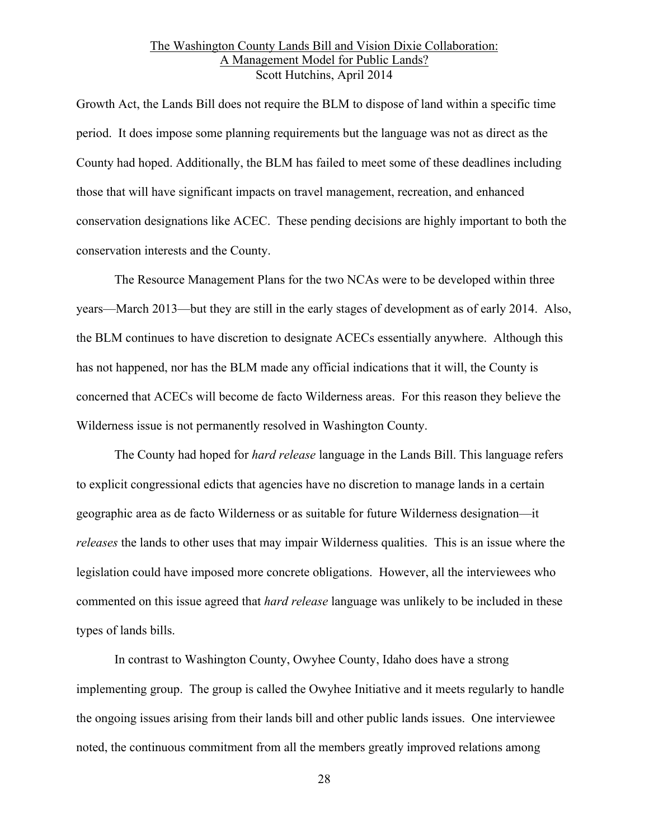Growth Act, the Lands Bill does not require the BLM to dispose of land within a specific time period. It does impose some planning requirements but the language was not as direct as the County had hoped. Additionally, the BLM has failed to meet some of these deadlines including those that will have significant impacts on travel management, recreation, and enhanced conservation designations like ACEC. These pending decisions are highly important to both the conservation interests and the County.

The Resource Management Plans for the two NCAs were to be developed within three years—March 2013—but they are still in the early stages of development as of early 2014. Also, the BLM continues to have discretion to designate ACECs essentially anywhere. Although this has not happened, nor has the BLM made any official indications that it will, the County is concerned that ACECs will become de facto Wilderness areas. For this reason they believe the Wilderness issue is not permanently resolved in Washington County.

The County had hoped for *hard release* language in the Lands Bill. This language refers to explicit congressional edicts that agencies have no discretion to manage lands in a certain geographic area as de facto Wilderness or as suitable for future Wilderness designation—it *releases* the lands to other uses that may impair Wilderness qualities. This is an issue where the legislation could have imposed more concrete obligations. However, all the interviewees who commented on this issue agreed that *hard release* language was unlikely to be included in these types of lands bills.

In contrast to Washington County, Owyhee County, Idaho does have a strong implementing group. The group is called the Owyhee Initiative and it meets regularly to handle the ongoing issues arising from their lands bill and other public lands issues. One interviewee noted, the continuous commitment from all the members greatly improved relations among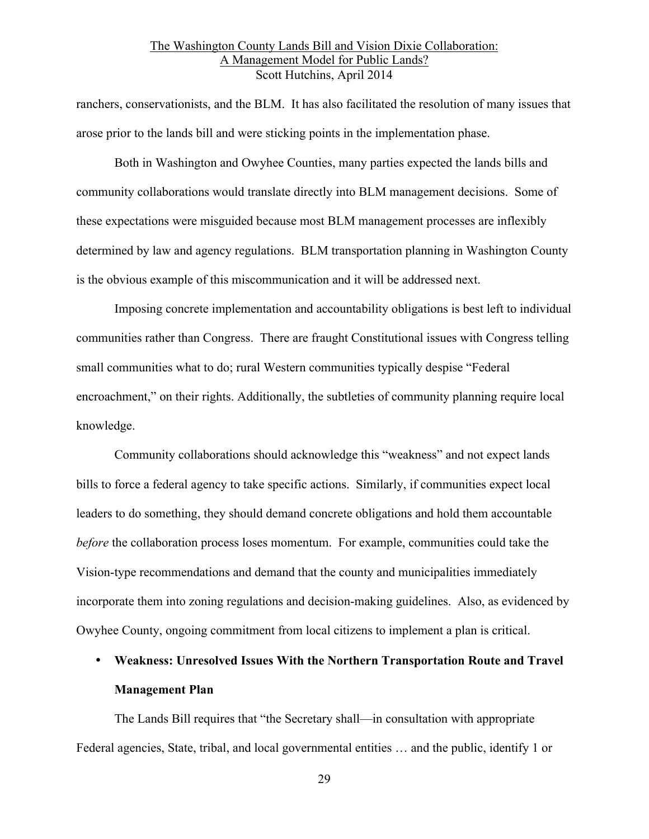ranchers, conservationists, and the BLM. It has also facilitated the resolution of many issues that arose prior to the lands bill and were sticking points in the implementation phase.

Both in Washington and Owyhee Counties, many parties expected the lands bills and community collaborations would translate directly into BLM management decisions. Some of these expectations were misguided because most BLM management processes are inflexibly determined by law and agency regulations. BLM transportation planning in Washington County is the obvious example of this miscommunication and it will be addressed next.

Imposing concrete implementation and accountability obligations is best left to individual communities rather than Congress. There are fraught Constitutional issues with Congress telling small communities what to do; rural Western communities typically despise "Federal encroachment," on their rights. Additionally, the subtleties of community planning require local knowledge.

Community collaborations should acknowledge this "weakness" and not expect lands bills to force a federal agency to take specific actions. Similarly, if communities expect local leaders to do something, they should demand concrete obligations and hold them accountable *before* the collaboration process loses momentum. For example, communities could take the Vision-type recommendations and demand that the county and municipalities immediately incorporate them into zoning regulations and decision-making guidelines. Also, as evidenced by Owyhee County, ongoing commitment from local citizens to implement a plan is critical.

# • **Weakness: Unresolved Issues With the Northern Transportation Route and Travel Management Plan**

The Lands Bill requires that "the Secretary shall—in consultation with appropriate Federal agencies, State, tribal, and local governmental entities … and the public, identify 1 or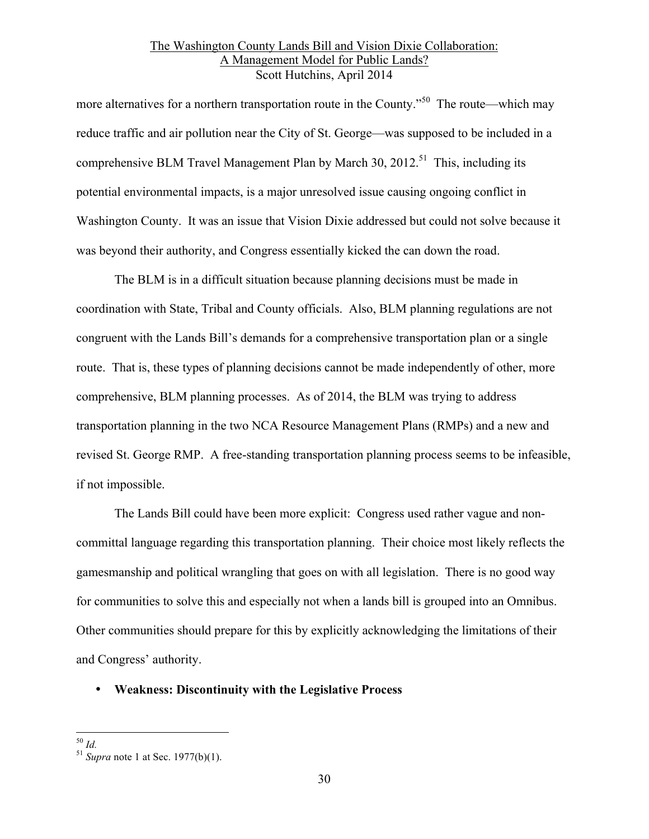more alternatives for a northern transportation route in the County."<sup>50</sup> The route—which may reduce traffic and air pollution near the City of St. George—was supposed to be included in a comprehensive BLM Travel Management Plan by March 30, 2012.<sup>51</sup> This, including its potential environmental impacts, is a major unresolved issue causing ongoing conflict in Washington County. It was an issue that Vision Dixie addressed but could not solve because it was beyond their authority, and Congress essentially kicked the can down the road.

The BLM is in a difficult situation because planning decisions must be made in coordination with State, Tribal and County officials. Also, BLM planning regulations are not congruent with the Lands Bill's demands for a comprehensive transportation plan or a single route. That is, these types of planning decisions cannot be made independently of other, more comprehensive, BLM planning processes. As of 2014, the BLM was trying to address transportation planning in the two NCA Resource Management Plans (RMPs) and a new and revised St. George RMP. A free-standing transportation planning process seems to be infeasible, if not impossible.

The Lands Bill could have been more explicit: Congress used rather vague and noncommittal language regarding this transportation planning. Their choice most likely reflects the gamesmanship and political wrangling that goes on with all legislation. There is no good way for communities to solve this and especially not when a lands bill is grouped into an Omnibus. Other communities should prepare for this by explicitly acknowledging the limitations of their and Congress' authority.

# • **Weakness: Discontinuity with the Legislative Process**

<sup>50</sup> *Id.* <sup>51</sup> *Supra* note 1 at Sec. 1977(b)(1).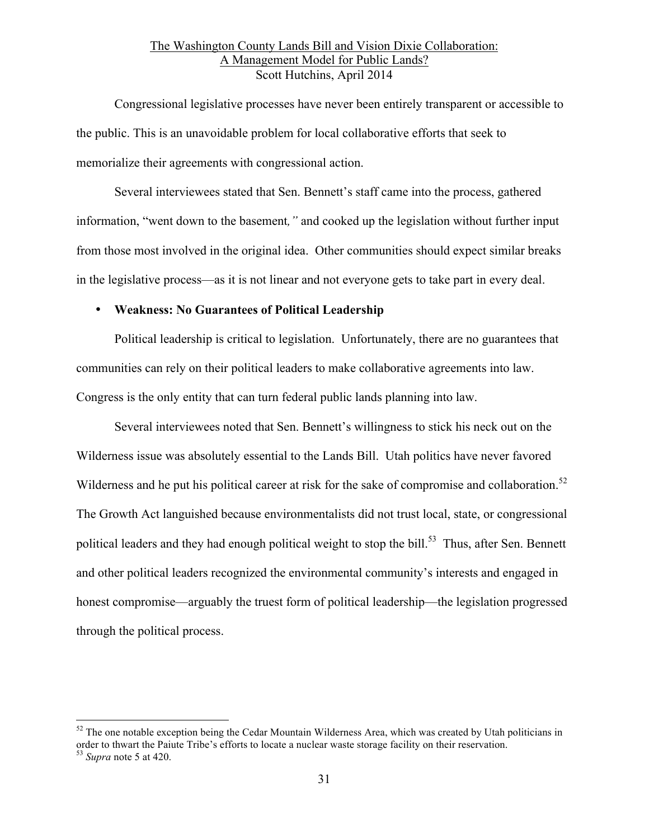Congressional legislative processes have never been entirely transparent or accessible to the public. This is an unavoidable problem for local collaborative efforts that seek to memorialize their agreements with congressional action.

Several interviewees stated that Sen. Bennett's staff came into the process, gathered information, "went down to the basement*,"* and cooked up the legislation without further input from those most involved in the original idea. Other communities should expect similar breaks in the legislative process—as it is not linear and not everyone gets to take part in every deal.

#### • **Weakness: No Guarantees of Political Leadership**

Political leadership is critical to legislation. Unfortunately, there are no guarantees that communities can rely on their political leaders to make collaborative agreements into law. Congress is the only entity that can turn federal public lands planning into law.

Several interviewees noted that Sen. Bennett's willingness to stick his neck out on the Wilderness issue was absolutely essential to the Lands Bill. Utah politics have never favored Wilderness and he put his political career at risk for the sake of compromise and collaboration.<sup>52</sup> The Growth Act languished because environmentalists did not trust local, state, or congressional political leaders and they had enough political weight to stop the bill.<sup>53</sup> Thus, after Sen. Bennett and other political leaders recognized the environmental community's interests and engaged in honest compromise—arguably the truest form of political leadership—the legislation progressed through the political process.

<sup>&</sup>lt;sup>52</sup> The one notable exception being the Cedar Mountain Wilderness Area, which was created by Utah politicians in order to thwart the Paiute Tribe's efforts to locate a nuclear waste storage facility on their reservation.

<sup>53</sup> *Supra* note 5 at 420.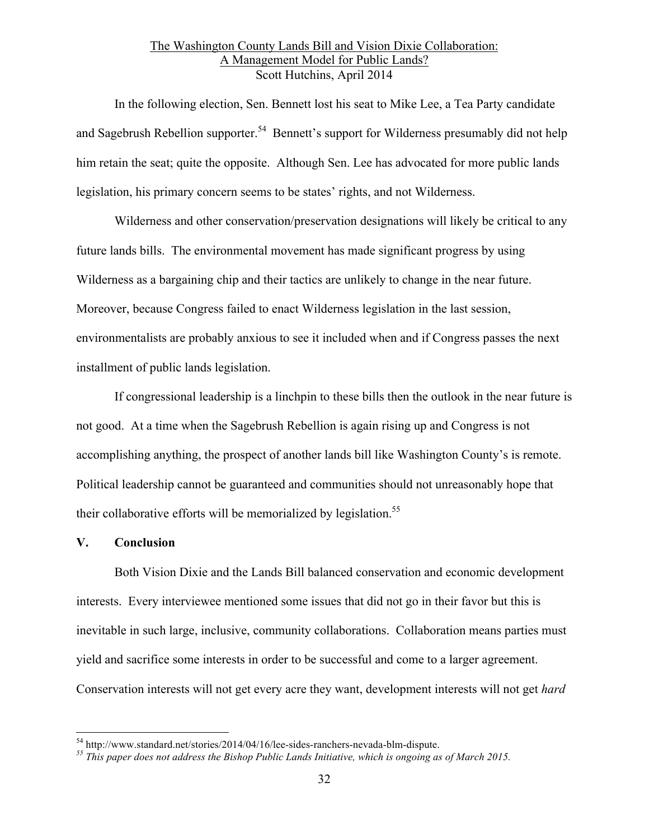In the following election, Sen. Bennett lost his seat to Mike Lee, a Tea Party candidate and Sagebrush Rebellion supporter.<sup>54</sup> Bennett's support for Wilderness presumably did not help him retain the seat; quite the opposite. Although Sen. Lee has advocated for more public lands legislation, his primary concern seems to be states' rights, and not Wilderness.

Wilderness and other conservation/preservation designations will likely be critical to any future lands bills. The environmental movement has made significant progress by using Wilderness as a bargaining chip and their tactics are unlikely to change in the near future. Moreover, because Congress failed to enact Wilderness legislation in the last session, environmentalists are probably anxious to see it included when and if Congress passes the next installment of public lands legislation.

If congressional leadership is a linchpin to these bills then the outlook in the near future is not good. At a time when the Sagebrush Rebellion is again rising up and Congress is not accomplishing anything, the prospect of another lands bill like Washington County's is remote. Political leadership cannot be guaranteed and communities should not unreasonably hope that their collaborative efforts will be memorialized by legislation.<sup>55</sup>

#### **V. Conclusion**

Both Vision Dixie and the Lands Bill balanced conservation and economic development interests. Every interviewee mentioned some issues that did not go in their favor but this is inevitable in such large, inclusive, community collaborations. Collaboration means parties must yield and sacrifice some interests in order to be successful and come to a larger agreement. Conservation interests will not get every acre they want, development interests will not get *hard* 

<sup>54</sup> http://www.standard.net/stories/2014/04/16/lee-sides-ranchers-nevada-blm-dispute. *<sup>55</sup> This paper does not address the Bishop Public Lands Initiative, which is ongoing as of March 2015.*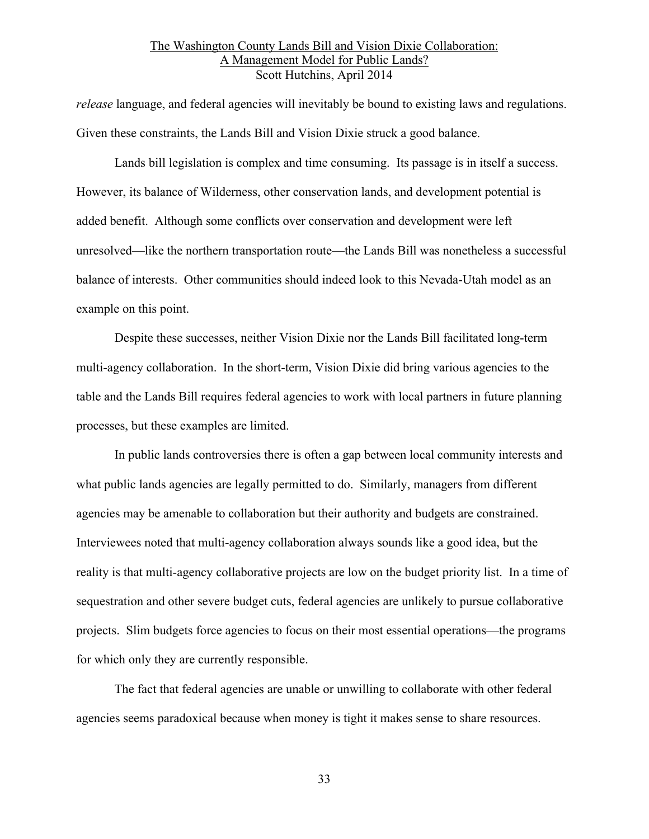*release* language, and federal agencies will inevitably be bound to existing laws and regulations. Given these constraints, the Lands Bill and Vision Dixie struck a good balance.

Lands bill legislation is complex and time consuming. Its passage is in itself a success. However, its balance of Wilderness, other conservation lands, and development potential is added benefit. Although some conflicts over conservation and development were left unresolved—like the northern transportation route—the Lands Bill was nonetheless a successful balance of interests. Other communities should indeed look to this Nevada-Utah model as an example on this point.

Despite these successes, neither Vision Dixie nor the Lands Bill facilitated long-term multi-agency collaboration. In the short-term, Vision Dixie did bring various agencies to the table and the Lands Bill requires federal agencies to work with local partners in future planning processes, but these examples are limited.

In public lands controversies there is often a gap between local community interests and what public lands agencies are legally permitted to do. Similarly, managers from different agencies may be amenable to collaboration but their authority and budgets are constrained. Interviewees noted that multi-agency collaboration always sounds like a good idea, but the reality is that multi-agency collaborative projects are low on the budget priority list. In a time of sequestration and other severe budget cuts, federal agencies are unlikely to pursue collaborative projects. Slim budgets force agencies to focus on their most essential operations—the programs for which only they are currently responsible.

The fact that federal agencies are unable or unwilling to collaborate with other federal agencies seems paradoxical because when money is tight it makes sense to share resources.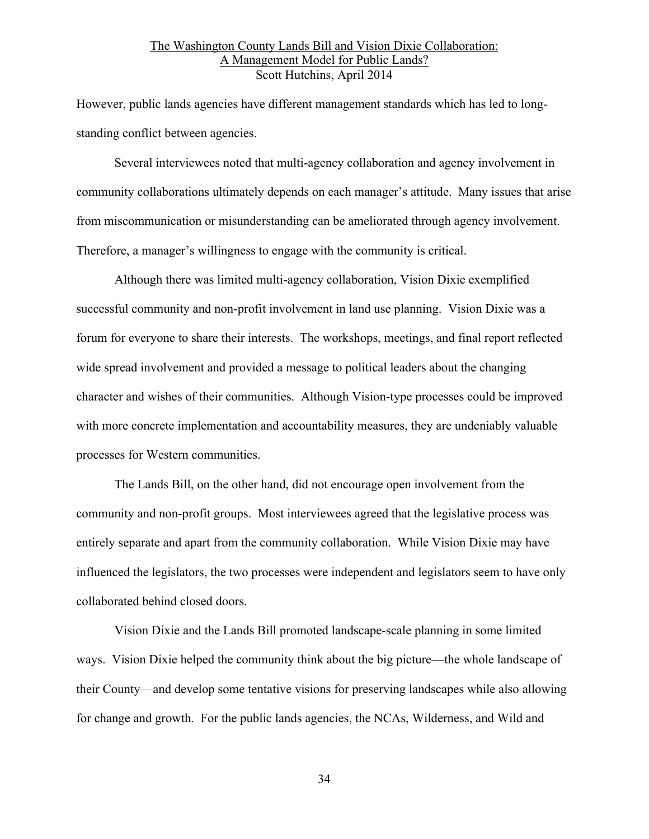However, public lands agencies have different management standards which has led to longstanding conflict between agencies.

Several interviewees noted that multi-agency collaboration and agency involvement in community collaborations ultimately depends on each manager's attitude. Many issues that arise from miscommunication or misunderstanding can be ameliorated through agency involvement. Therefore, a manager's willingness to engage with the community is critical.

Although there was limited multi-agency collaboration, Vision Dixie exemplified successful community and non-profit involvement in land use planning. Vision Dixie was a forum for everyone to share their interests. The workshops, meetings, and final report reflected wide spread involvement and provided a message to political leaders about the changing character and wishes of their communities. Although Vision-type processes could be improved with more concrete implementation and accountability measures, they are undeniably valuable processes for Western communities.

The Lands Bill, on the other hand, did not encourage open involvement from the community and non-profit groups. Most interviewees agreed that the legislative process was entirely separate and apart from the community collaboration. While Vision Dixie may have influenced the legislators, the two processes were independent and legislators seem to have only collaborated behind closed doors.

Vision Dixie and the Lands Bill promoted landscape-scale planning in some limited ways. Vision Dixie helped the community think about the big picture—the whole landscape of their County—and develop some tentative visions for preserving landscapes while also allowing for change and growth. For the public lands agencies, the NCAs, Wilderness, and Wild and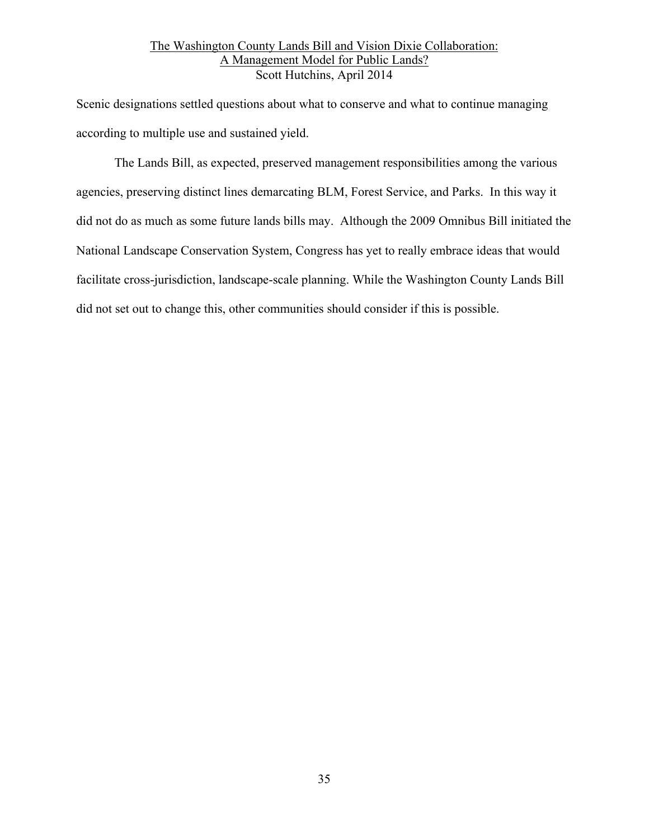Scenic designations settled questions about what to conserve and what to continue managing according to multiple use and sustained yield.

The Lands Bill, as expected, preserved management responsibilities among the various agencies, preserving distinct lines demarcating BLM, Forest Service, and Parks. In this way it did not do as much as some future lands bills may. Although the 2009 Omnibus Bill initiated the National Landscape Conservation System, Congress has yet to really embrace ideas that would facilitate cross-jurisdiction, landscape-scale planning. While the Washington County Lands Bill did not set out to change this, other communities should consider if this is possible.